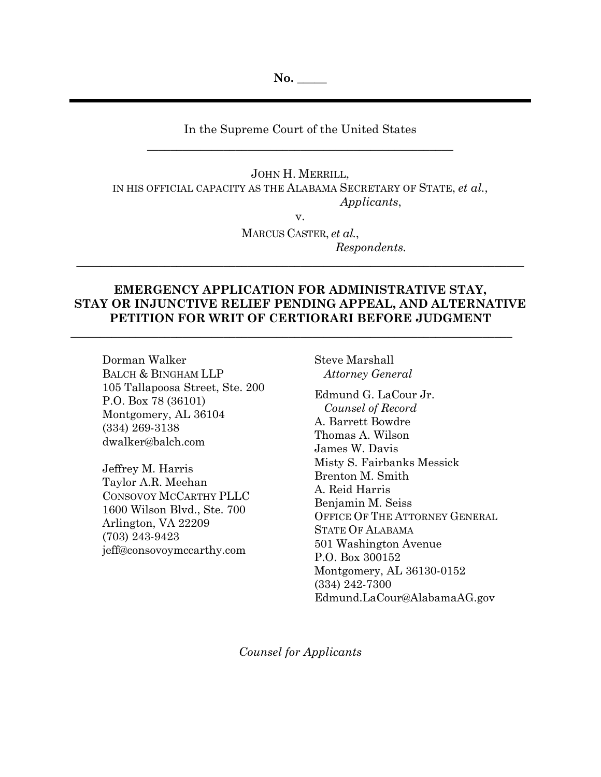**No. \_\_\_\_\_**

# In the Supreme Court of the United States \_\_\_\_\_\_\_\_\_\_\_\_\_\_\_\_\_\_\_\_\_\_\_\_\_\_\_\_\_\_\_\_\_\_\_\_\_\_\_\_\_\_\_\_\_\_\_\_\_\_\_\_

JOHN H. MERRILL, IN HIS OFFICIAL CAPACITY AS THE ALABAMA SECRETARY OF STATE, *et al.*, *Applicants*,

v.

MARCUS CASTER, *et al.*, *Respondents.*

# **EMERGENCY APPLICATION FOR ADMINISTRATIVE STAY, STAY OR INJUNCTIVE RELIEF PENDING APPEAL, AND ALTERNATIVE PETITION FOR WRIT OF CERTIORARI BEFORE JUDGMENT**

 $\_$  , and the set of the set of the set of the set of the set of the set of the set of the set of the set of the set of the set of the set of the set of the set of the set of the set of the set of the set of the set of th

\_\_\_\_\_\_\_\_\_\_\_\_\_\_\_\_\_\_\_\_\_\_\_\_\_\_\_\_\_\_\_\_\_\_\_\_\_\_\_\_\_\_\_\_\_\_\_\_\_\_\_\_\_\_\_\_\_\_\_\_\_\_\_\_\_\_\_\_\_\_\_\_\_\_\_\_

Dorman Walker BALCH & BINGHAM LLP 105 Tallapoosa Street, Ste. 200 P.O. Box 78 (36101) Montgomery, AL 36104 (334) 269-3138 dwalker@balch.com

Jeffrey M. Harris Taylor A.R. Meehan CONSOVOY MCCARTHY PLLC 1600 Wilson Blvd., Ste. 700 Arlington, VA 22209 (703) 243-9423 jeff@consovoymccarthy.com

Steve Marshall *Attorney General*

Edmund G. LaCour Jr. *Counsel of Record* A. Barrett Bowdre Thomas A. Wilson James W. Davis Misty S. Fairbanks Messick Brenton M. Smith A. Reid Harris Benjamin M. Seiss OFFICE OF THE ATTORNEY GENERAL STATE OF ALABAMA 501 Washington Avenue P.O. Box 300152 Montgomery, AL 36130-0152 (334) 242-7300 Edmund.LaCour@AlabamaAG.gov

*Counsel for Applicants*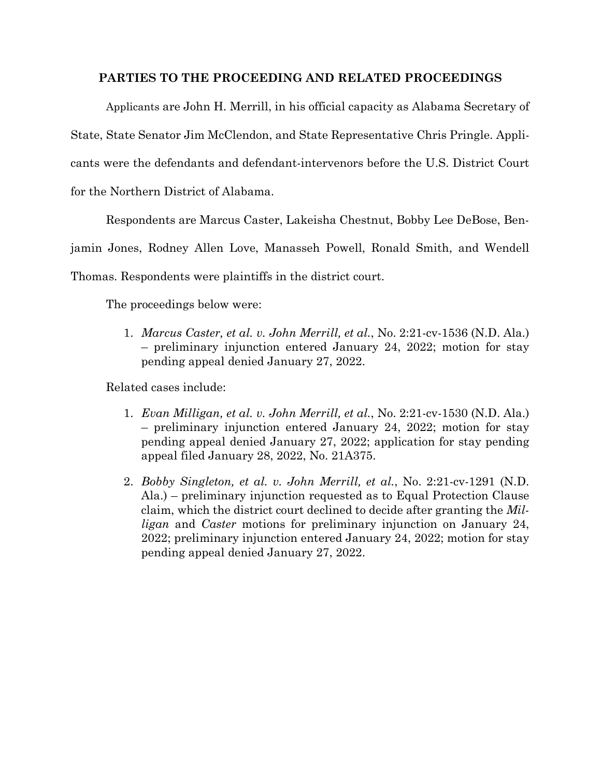# **PARTIES TO THE PROCEEDING AND RELATED PROCEEDINGS**

Applicants are John H. Merrill, in his official capacity as Alabama Secretary of State, State Senator Jim McClendon, and State Representative Chris Pringle. Applicants were the defendants and defendant-intervenors before the U.S. District Court for the Northern District of Alabama.

Respondents are Marcus Caster, Lakeisha Chestnut, Bobby Lee DeBose, Ben-

jamin Jones, Rodney Allen Love, Manasseh Powell, Ronald Smith, and Wendell

Thomas. Respondents were plaintiffs in the district court.

The proceedings below were:

1. *Marcus Caster, et al. v. John Merrill, et al.*, No. 2:21-cv-1536 (N.D. Ala.) – preliminary injunction entered January 24, 2022; motion for stay pending appeal denied January 27, 2022.

Related cases include:

- 1. *Evan Milligan, et al. v. John Merrill, et al.*, No. 2:21-cv-1530 (N.D. Ala.) – preliminary injunction entered January 24, 2022; motion for stay pending appeal denied January 27, 2022; application for stay pending appeal filed January 28, 2022, No. 21A375.
- 2. *Bobby Singleton, et al. v. John Merrill, et al.*, No. 2:21-cv-1291 (N.D. Ala.) – preliminary injunction requested as to Equal Protection Clause claim, which the district court declined to decide after granting the *Milligan* and *Caster* motions for preliminary injunction on January 24, 2022; preliminary injunction entered January 24, 2022; motion for stay pending appeal denied January 27, 2022.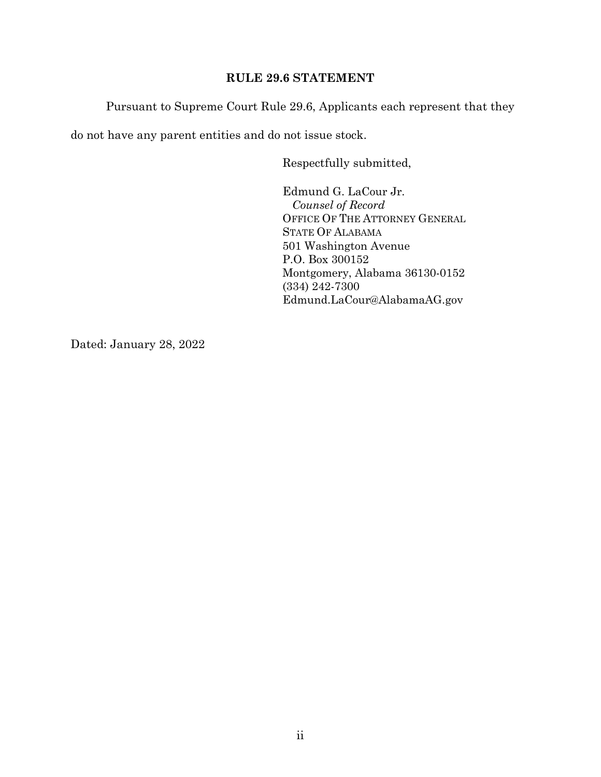# **RULE 29.6 STATEMENT**

Pursuant to Supreme Court Rule 29.6, Applicants each represent that they

do not have any parent entities and do not issue stock.

Respectfully submitted,

Edmund G. LaCour Jr. *Counsel of Record* OFFICE OF THE ATTORNEY GENERAL STATE OF ALABAMA 501 Washington Avenue P.O. Box 300152 Montgomery, Alabama 36130-0152 (334) 242-7300 Edmund.LaCour@AlabamaAG.gov

Dated: January 28, 2022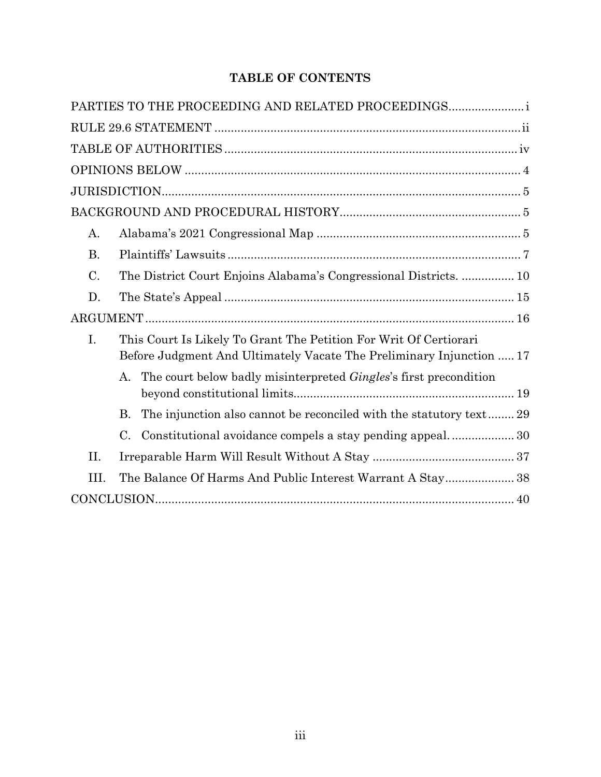# **TABLE OF CONTENTS**

|                 | PARTIES TO THE PROCEEDING AND RELATED PROCEEDINGS                                                                                         |
|-----------------|-------------------------------------------------------------------------------------------------------------------------------------------|
|                 |                                                                                                                                           |
|                 |                                                                                                                                           |
|                 |                                                                                                                                           |
|                 |                                                                                                                                           |
|                 |                                                                                                                                           |
| A.              |                                                                                                                                           |
| <b>B.</b>       |                                                                                                                                           |
| $\mathcal{C}$ . | The District Court Enjoins Alabama's Congressional Districts 10                                                                           |
| D.              |                                                                                                                                           |
|                 |                                                                                                                                           |
| I.              | This Court Is Likely To Grant The Petition For Writ Of Certiorari<br>Before Judgment And Ultimately Vacate The Preliminary Injunction  17 |
|                 | The court below badly misinterpreted Gingles's first precondition<br>А.                                                                   |
|                 | The injunction also cannot be reconciled with the statutory text29<br>В.                                                                  |
|                 | C.<br>Constitutional avoidance compels a stay pending appeal30                                                                            |
| II.             |                                                                                                                                           |
| III.            | The Balance Of Harms And Public Interest Warrant A Stay 38                                                                                |
|                 |                                                                                                                                           |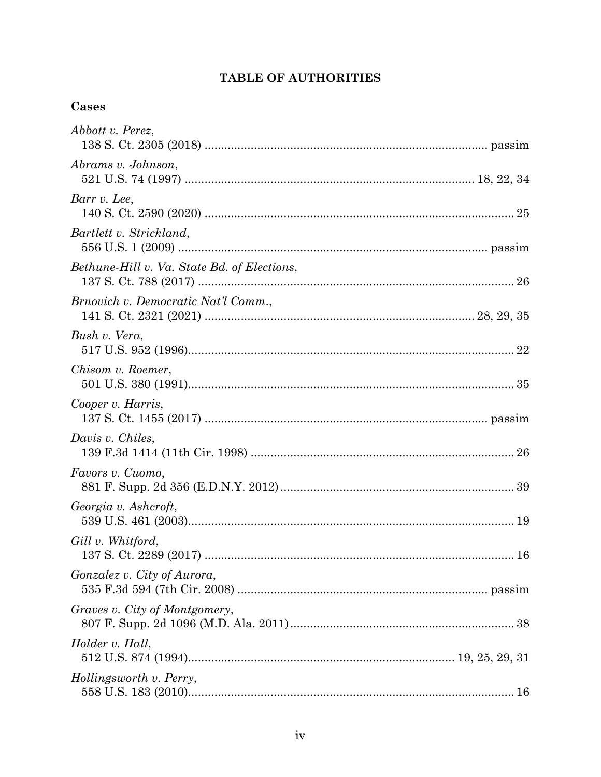# TABLE OF AUTHORITIES

# Cases

| Abbott v. Perez,                            |
|---------------------------------------------|
| Abrams v. Johnson,                          |
| Barr v. Lee,                                |
| Bartlett v. Strickland,                     |
| Bethune-Hill v. Va. State Bd. of Elections, |
| Brnovich v. Democratic Nat'l Comm.,         |
| Bush v. Vera,                               |
| Chisom v. Roemer,                           |
| Cooper v. Harris,                           |
| Davis v. Chiles,                            |
| Favors v. Cuomo,                            |
| Georgia v. Ashcroft,                        |
| Gill v. Whitford,<br>16                     |
| Gonzalez v. City of Aurora,                 |
| Graves v. City of Montgomery,               |
| Holder v. Hall,                             |
| Hollingsworth v. Perry,                     |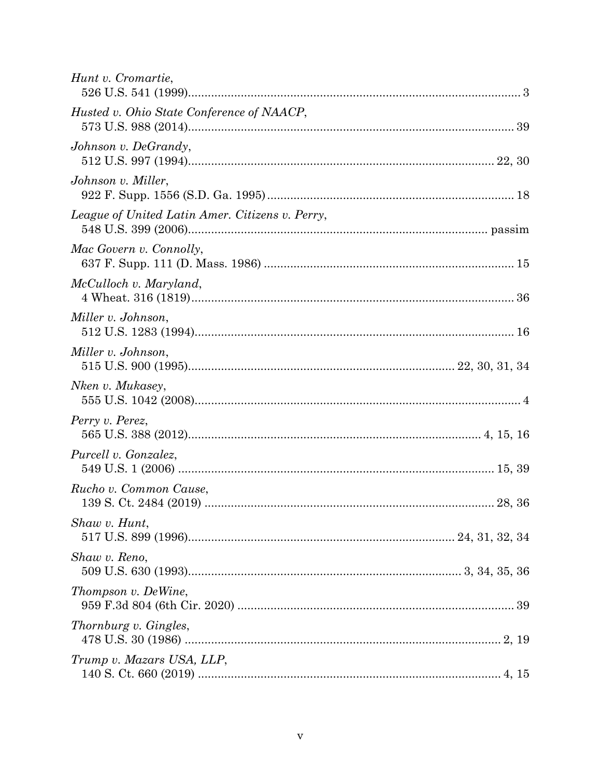| Hunt v. Cromartie,                              |  |
|-------------------------------------------------|--|
| Husted v. Ohio State Conference of NAACP,       |  |
| Johnson v. DeGrandy,                            |  |
| Johnson v. Miller,                              |  |
| League of United Latin Amer. Citizens v. Perry, |  |
| Mac Govern v. Connolly,                         |  |
| McCulloch v. Maryland,                          |  |
| Miller v. Johnson,                              |  |
| Miller v. Johnson,                              |  |
| Nken v. Mukasey,                                |  |
| Perry v. Perez,                                 |  |
| Purcell v. Gonzalez,                            |  |
| Rucho v. Common Cause,                          |  |
| Shaw v. Hunt,                                   |  |
| Shaw v. Reno,                                   |  |
| Thompson v. DeWine,                             |  |
| <i>Thornburg v. Gingles,</i>                    |  |
| Trump v. Mazars USA, LLP,                       |  |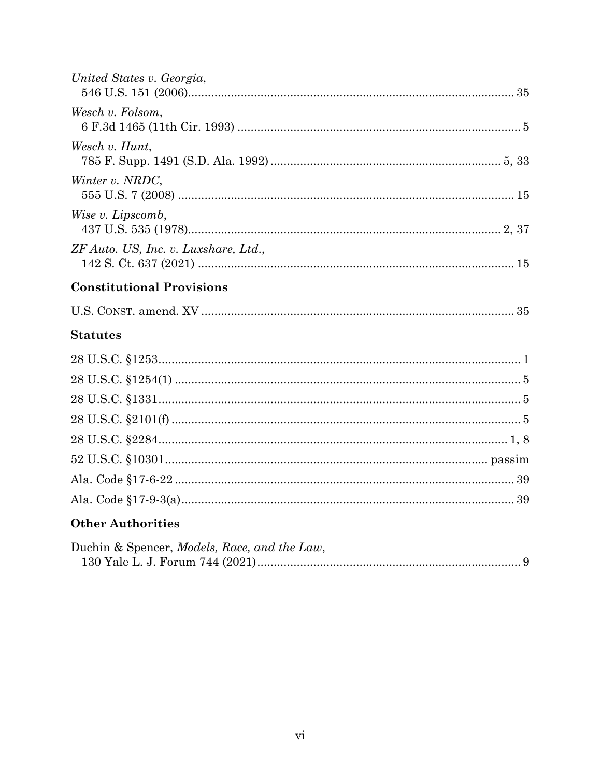| United States v. Georgia,            |
|--------------------------------------|
| Wesch v. Folsom,                     |
| Wesch v. Hunt,                       |
| Winter v. NRDC,                      |
| Wise v. Lipscomb,                    |
| ZF Auto. US, Inc. v. Luxshare, Ltd., |
|                                      |
| <b>Constitutional Provisions</b>     |
|                                      |
| <b>Statutes</b>                      |
|                                      |
|                                      |
|                                      |
|                                      |
|                                      |
|                                      |

# **Other Authorities**

| Duchin & Spencer, Models, Race, and the Law, |  |
|----------------------------------------------|--|
|                                              |  |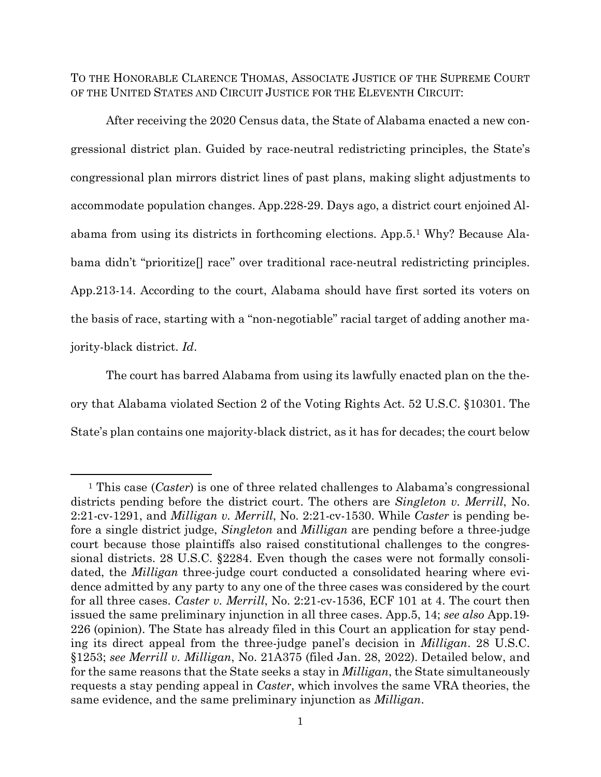TO THE HONORABLE CLARENCE THOMAS, ASSOCIATE JUSTICE OF THE SUPREME COURT OF THE UNITED STATES AND CIRCUIT JUSTICE FOR THE ELEVENTH CIRCUIT:

After receiving the 2020 Census data, the State of Alabama enacted a new congressional district plan. Guided by race-neutral redistricting principles, the State's congressional plan mirrors district lines of past plans, making slight adjustments to accommodate population changes. App.228-29. Days ago, a district court enjoined Alabama from using its districts in forthcoming elections. App.5.<sup>1</sup> Why? Because Alabama didn't "prioritize<sup>[]</sup> race" over traditional race-neutral redistricting principles. App.213-14. According to the court, Alabama should have first sorted its voters on the basis of race, starting with a "non-negotiable" racial target of adding another majority-black district. *Id*.

The court has barred Alabama from using its lawfully enacted plan on the theory that Alabama violated Section 2 of the Voting Rights Act. 52 U.S.C. §10301. The State's plan contains one majority-black district, as it has for decades; the court below

<sup>1</sup> This case (*Caster*) is one of three related challenges to Alabama's congressional districts pending before the district court. The others are *Singleton v. Merrill*, No. 2:21-cv-1291, and *Milligan v. Merrill*, No. 2:21-cv-1530. While *Caster* is pending before a single district judge, *Singleton* and *Milligan* are pending before a three-judge court because those plaintiffs also raised constitutional challenges to the congressional districts. 28 U.S.C. §2284. Even though the cases were not formally consolidated, the *Milligan* three-judge court conducted a consolidated hearing where evidence admitted by any party to any one of the three cases was considered by the court for all three cases. *Caster v. Merrill*, No. 2:21-cv-1536, ECF 101 at 4. The court then issued the same preliminary injunction in all three cases. App.5, 14; *see also* App.19- 226 (opinion). The State has already filed in this Court an application for stay pending its direct appeal from the three-judge panel's decision in *Milligan*. 28 U.S.C. §1253; *see Merrill v. Milligan*, No. 21A375 (filed Jan. 28, 2022). Detailed below, and for the same reasons that the State seeks a stay in *Milligan*, the State simultaneously requests a stay pending appeal in *Caster*, which involves the same VRA theories, the same evidence, and the same preliminary injunction as *Milligan*.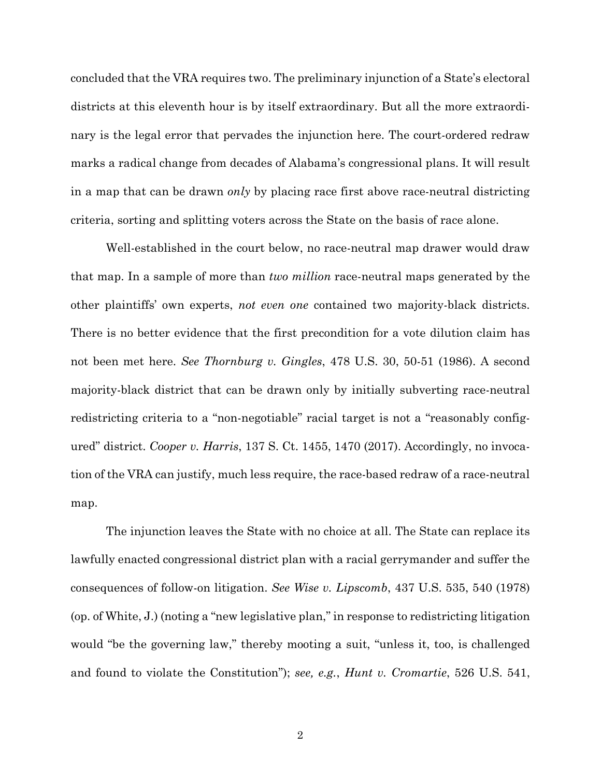concluded that the VRA requires two. The preliminary injunction of a State's electoral districts at this eleventh hour is by itself extraordinary. But all the more extraordinary is the legal error that pervades the injunction here. The court-ordered redraw marks a radical change from decades of Alabama's congressional plans. It will result in a map that can be drawn *only* by placing race first above race-neutral districting criteria, sorting and splitting voters across the State on the basis of race alone.

Well-established in the court below, no race-neutral map drawer would draw that map. In a sample of more than *two million* race-neutral maps generated by the other plaintiffs' own experts, *not even one* contained two majority-black districts. There is no better evidence that the first precondition for a vote dilution claim has not been met here. *See Thornburg v. Gingles*, 478 U.S. 30, 50-51 (1986). A second majority-black district that can be drawn only by initially subverting race-neutral redistricting criteria to a "non-negotiable" racial target is not a "reasonably configured" district. *Cooper v. Harris*, 137 S. Ct. 1455, 1470 (2017). Accordingly, no invocation of the VRA can justify, much less require, the race-based redraw of a race-neutral map.

The injunction leaves the State with no choice at all. The State can replace its lawfully enacted congressional district plan with a racial gerrymander and suffer the consequences of follow-on litigation. *See Wise v. Lipscomb*, 437 U.S. 535, 540 (1978) (op. of White, J.) (noting a "new legislative plan," in response to redistricting litigation would "be the governing law," thereby mooting a suit, "unless it, too, is challenged and found to violate the Constitution"); *see, e.g.*, *Hunt v. Cromartie*, 526 U.S. 541,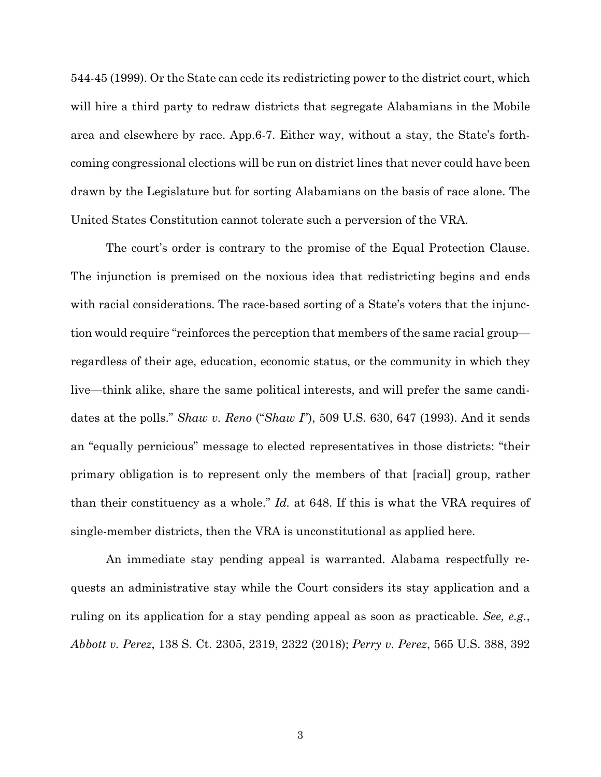544-45 (1999). Or the State can cede its redistricting power to the district court, which will hire a third party to redraw districts that segregate Alabamians in the Mobile area and elsewhere by race. App.6-7. Either way, without a stay, the State's forthcoming congressional elections will be run on district lines that never could have been drawn by the Legislature but for sorting Alabamians on the basis of race alone. The United States Constitution cannot tolerate such a perversion of the VRA.

The court's order is contrary to the promise of the Equal Protection Clause. The injunction is premised on the noxious idea that redistricting begins and ends with racial considerations. The race-based sorting of a State's voters that the injunction would require "reinforces the perception that members of the same racial group regardless of their age, education, economic status, or the community in which they live—think alike, share the same political interests, and will prefer the same candidates at the polls." *Shaw v. Reno* ("*Shaw I*"), 509 U.S. 630, 647 (1993). And it sends an "equally pernicious" message to elected representatives in those districts: "their primary obligation is to represent only the members of that [racial] group, rather than their constituency as a whole." *Id.* at 648. If this is what the VRA requires of single-member districts, then the VRA is unconstitutional as applied here.

An immediate stay pending appeal is warranted. Alabama respectfully requests an administrative stay while the Court considers its stay application and a ruling on its application for a stay pending appeal as soon as practicable. *See, e.g.*, *Abbott v. Perez*, 138 S. Ct. 2305, 2319, 2322 (2018); *Perry v. Perez*, 565 U.S. 388, 392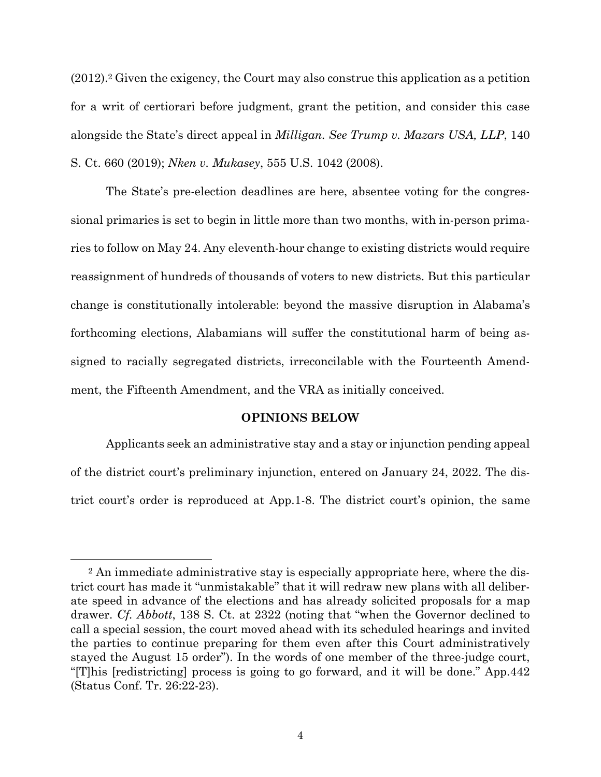$(2012).$ <sup>2</sup> Given the exigency, the Court may also construe this application as a petition for a writ of certiorari before judgment, grant the petition, and consider this case alongside the State's direct appeal in *Milligan. See Trump v. Mazars USA, LLP*, 140 S. Ct. 660 (2019); *Nken v. Mukasey*, 555 U.S. 1042 (2008).

The State's pre-election deadlines are here, absentee voting for the congressional primaries is set to begin in little more than two months, with in-person primaries to follow on May 24. Any eleventh-hour change to existing districts would require reassignment of hundreds of thousands of voters to new districts. But this particular change is constitutionally intolerable: beyond the massive disruption in Alabama's forthcoming elections, Alabamians will suffer the constitutional harm of being assigned to racially segregated districts, irreconcilable with the Fourteenth Amendment, the Fifteenth Amendment, and the VRA as initially conceived.

#### **OPINIONS BELOW**

Applicants seek an administrative stay and a stay or injunction pending appeal of the district court's preliminary injunction, entered on January 24, 2022. The district court's order is reproduced at App.1-8. The district court's opinion, the same

<sup>2</sup> An immediate administrative stay is especially appropriate here, where the district court has made it "unmistakable" that it will redraw new plans with all deliberate speed in advance of the elections and has already solicited proposals for a map drawer. *Cf. Abbott*, 138 S. Ct. at 2322 (noting that "when the Governor declined to call a special session, the court moved ahead with its scheduled hearings and invited the parties to continue preparing for them even after this Court administratively stayed the August 15 order"). In the words of one member of the three-judge court, "[T]his [redistricting] process is going to go forward, and it will be done." App.442 (Status Conf. Tr. 26:22-23).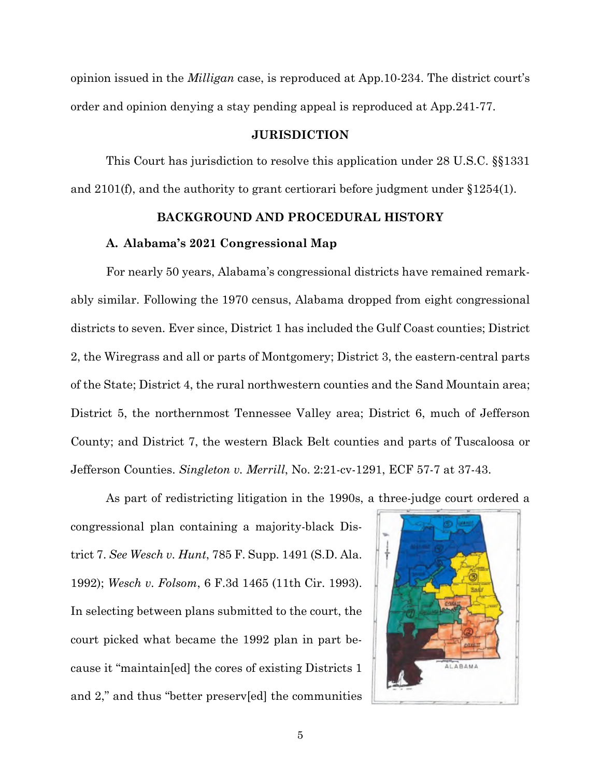opinion issued in the *Milligan* case, is reproduced at App.10-234. The district court's order and opinion denying a stay pending appeal is reproduced at App.241-77.

#### **JURISDICTION**

This Court has jurisdiction to resolve this application under 28 U.S.C. §§1331 and 2101(f), and the authority to grant certiorari before judgment under §1254(1).

### **BACKGROUND AND PROCEDURAL HISTORY**

#### **A. Alabama's 2021 Congressional Map**

For nearly 50 years, Alabama's congressional districts have remained remarkably similar. Following the 1970 census, Alabama dropped from eight congressional districts to seven. Ever since, District 1 has included the Gulf Coast counties; District 2, the Wiregrass and all or parts of Montgomery; District 3, the eastern-central parts of the State; District 4, the rural northwestern counties and the Sand Mountain area; District 5, the northernmost Tennessee Valley area; District 6, much of Jefferson County; and District 7, the western Black Belt counties and parts of Tuscaloosa or Jefferson Counties. *Singleton v. Merrill*, No. 2:21-cv-1291, ECF 57-7 at 37-43.

As part of redistricting litigation in the 1990s, a three-judge court ordered a

congressional plan containing a majority-black District 7. *See Wesch v. Hunt*, 785 F. Supp. 1491 (S.D. Ala. 1992); *Wesch v. Folsom*, 6 F.3d 1465 (11th Cir. 1993). In selecting between plans submitted to the court, the court picked what became the 1992 plan in part because it "maintain[ed] the cores of existing Districts 1 and 2," and thus "better preserv[ed] the communities

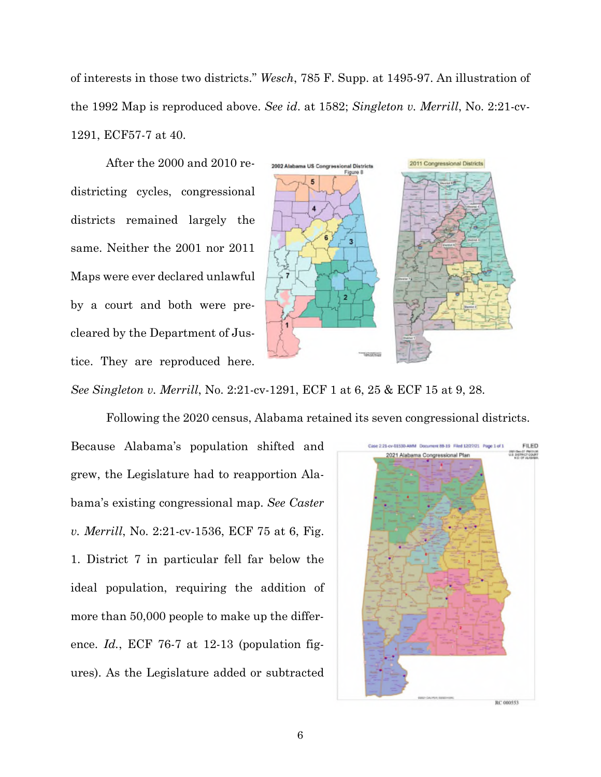of interests in those two districts." *Wesch*, 785 F. Supp. at 1495-97. An illustration of the 1992 Map is reproduced above. *See id*. at 1582; *Singleton v. Merrill*, No. 2:21-cv-1291, ECF57-7 at 40.

After the 2000 and 2010 redistricting cycles, congressional districts remained largely the same. Neither the 2001 nor 2011 Maps were ever declared unlawful by a court and both were precleared by the Department of Justice. They are reproduced here.



*See Singleton v. Merrill*, No. 2:21-cv-1291, ECF 1 at 6, 25 & ECF 15 at 9, 28.

Following the 2020 census, Alabama retained its seven congressional districts.

Because Alabama's population shifted and grew, the Legislature had to reapportion Alabama's existing congressional map. *See Caster v. Merrill*, No. 2:21-cv-1536, ECF 75 at 6, Fig. 1. District 7 in particular fell far below the ideal population, requiring the addition of more than 50,000 people to make up the difference. *Id.*, ECF 76-7 at 12-13 (population figures). As the Legislature added or subtracted

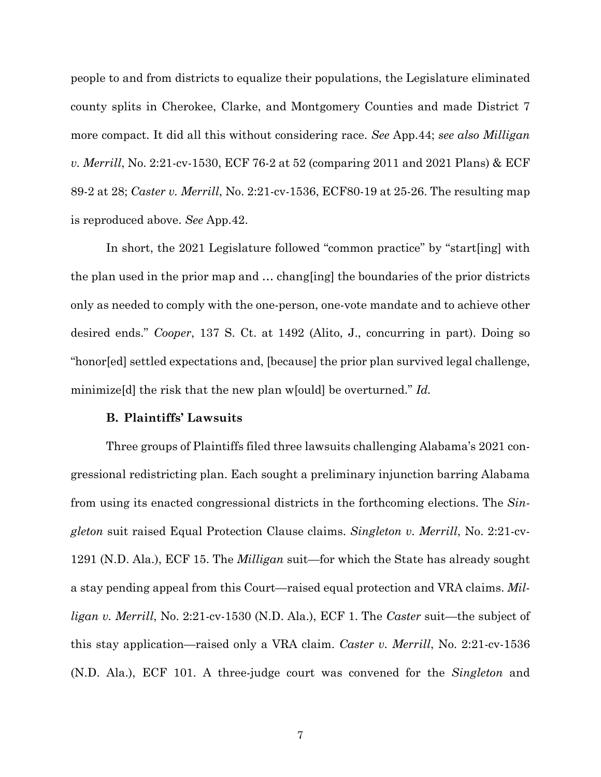people to and from districts to equalize their populations, the Legislature eliminated county splits in Cherokee, Clarke, and Montgomery Counties and made District 7 more compact. It did all this without considering race. *See* App.44; *see also Milligan v. Merrill*, No. 2:21-cv-1530, ECF 76-2 at 52 (comparing 2011 and 2021 Plans) & ECF 89-2 at 28; *Caster v. Merrill*, No. 2:21-cv-1536, ECF80-19 at 25-26. The resulting map is reproduced above. *See* App.42.

In short, the 2021 Legislature followed "common practice" by "start[ing] with the plan used in the prior map and … chang[ing] the boundaries of the prior districts only as needed to comply with the one-person, one-vote mandate and to achieve other desired ends." *Cooper*, 137 S. Ct. at 1492 (Alito, J., concurring in part). Doing so "honor[ed] settled expectations and, [because] the prior plan survived legal challenge, minimize[d] the risk that the new plan w[ould] be overturned." *Id.*

#### **B. Plaintiffs' Lawsuits**

Three groups of Plaintiffs filed three lawsuits challenging Alabama's 2021 congressional redistricting plan. Each sought a preliminary injunction barring Alabama from using its enacted congressional districts in the forthcoming elections. The *Singleton* suit raised Equal Protection Clause claims. *Singleton v. Merrill*, No. 2:21-cv-1291 (N.D. Ala.), ECF 15. The *Milligan* suit—for which the State has already sought a stay pending appeal from this Court—raised equal protection and VRA claims. *Milligan v. Merrill*, No. 2:21-cv-1530 (N.D. Ala.), ECF 1. The *Caster* suit—the subject of this stay application—raised only a VRA claim. *Caster v. Merrill*, No. 2:21-cv-1536 (N.D. Ala.), ECF 101. A three-judge court was convened for the *Singleton* and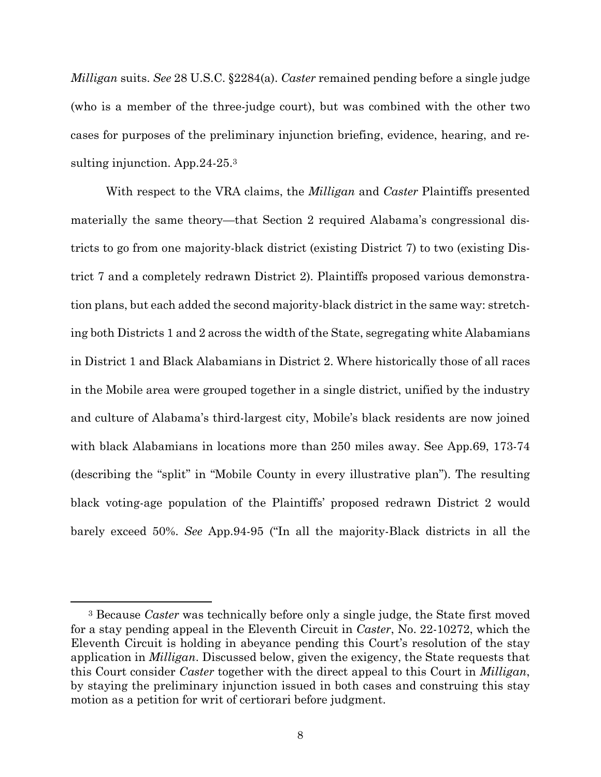*Milligan* suits. *See* 28 U.S.C. §2284(a). *Caster* remained pending before a single judge (who is a member of the three-judge court), but was combined with the other two cases for purposes of the preliminary injunction briefing, evidence, hearing, and resulting injunction. App.24-25.<sup>3</sup>

With respect to the VRA claims, the *Milligan* and *Caster* Plaintiffs presented materially the same theory—that Section 2 required Alabama's congressional districts to go from one majority-black district (existing District 7) to two (existing District 7 and a completely redrawn District 2). Plaintiffs proposed various demonstration plans, but each added the second majority-black district in the same way: stretching both Districts 1 and 2 across the width of the State, segregating white Alabamians in District 1 and Black Alabamians in District 2. Where historically those of all races in the Mobile area were grouped together in a single district, unified by the industry and culture of Alabama's third-largest city, Mobile's black residents are now joined with black Alabamians in locations more than 250 miles away. See App.69, 173-74 (describing the "split" in "Mobile County in every illustrative plan"). The resulting black voting-age population of the Plaintiffs' proposed redrawn District 2 would barely exceed 50%. *See* App.94-95 ("In all the majority-Black districts in all the

<sup>3</sup> Because *Caster* was technically before only a single judge, the State first moved for a stay pending appeal in the Eleventh Circuit in *Caster*, No. 22-10272, which the Eleventh Circuit is holding in abeyance pending this Court's resolution of the stay application in *Milligan*. Discussed below, given the exigency, the State requests that this Court consider *Caster* together with the direct appeal to this Court in *Milligan*, by staying the preliminary injunction issued in both cases and construing this stay motion as a petition for writ of certiorari before judgment.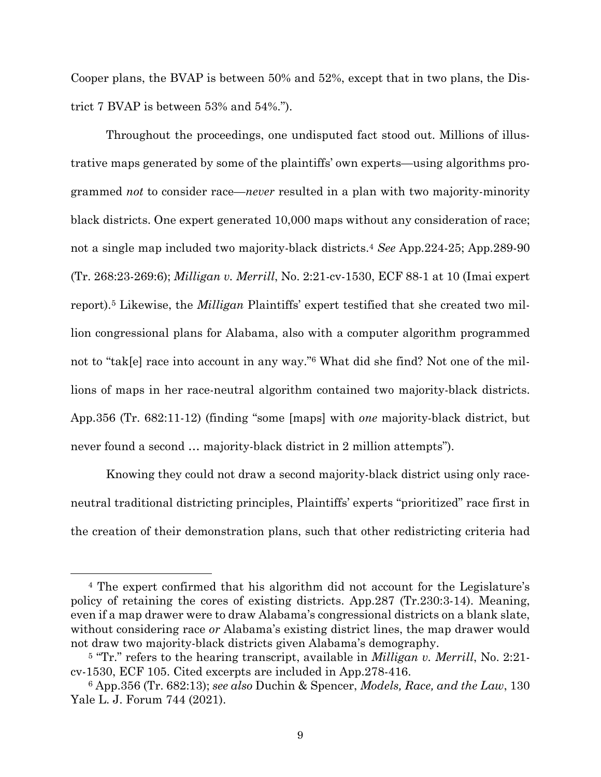Cooper plans, the BVAP is between 50% and 52%, except that in two plans, the District 7 BVAP is between 53% and 54%.").

Throughout the proceedings, one undisputed fact stood out. Millions of illustrative maps generated by some of the plaintiffs' own experts—using algorithms programmed *not* to consider race—*never* resulted in a plan with two majority-minority black districts. One expert generated 10,000 maps without any consideration of race; not a single map included two majority-black districts.<sup>4</sup> *See* App.224-25; App.289-90 (Tr. 268:23-269:6); *Milligan v. Merrill*, No. 2:21-cv-1530, ECF 88-1 at 10 (Imai expert report).<sup>5</sup> Likewise, the *Milligan* Plaintiffs' expert testified that she created two million congressional plans for Alabama, also with a computer algorithm programmed not to "tak[e] race into account in any way."<sup>6</sup> What did she find? Not one of the millions of maps in her race-neutral algorithm contained two majority-black districts. App.356 (Tr. 682:11-12) (finding "some [maps] with *one* majority-black district, but never found a second … majority-black district in 2 million attempts").

Knowing they could not draw a second majority-black district using only raceneutral traditional districting principles, Plaintiffs' experts "prioritized" race first in the creation of their demonstration plans, such that other redistricting criteria had

<sup>4</sup> The expert confirmed that his algorithm did not account for the Legislature's policy of retaining the cores of existing districts. App.287 (Tr.230:3-14). Meaning, even if a map drawer were to draw Alabama's congressional districts on a blank slate, without considering race *or* Alabama's existing district lines, the map drawer would not draw two majority-black districts given Alabama's demography.

<sup>5</sup> "Tr." refers to the hearing transcript, available in *Milligan v. Merrill*, No. 2:21 cv-1530, ECF 105. Cited excerpts are included in App.278-416.

<sup>6</sup> App.356 (Tr. 682:13); *see also* Duchin & Spencer, *Models, Race, and the Law*, 130 Yale L. J. Forum 744 (2021).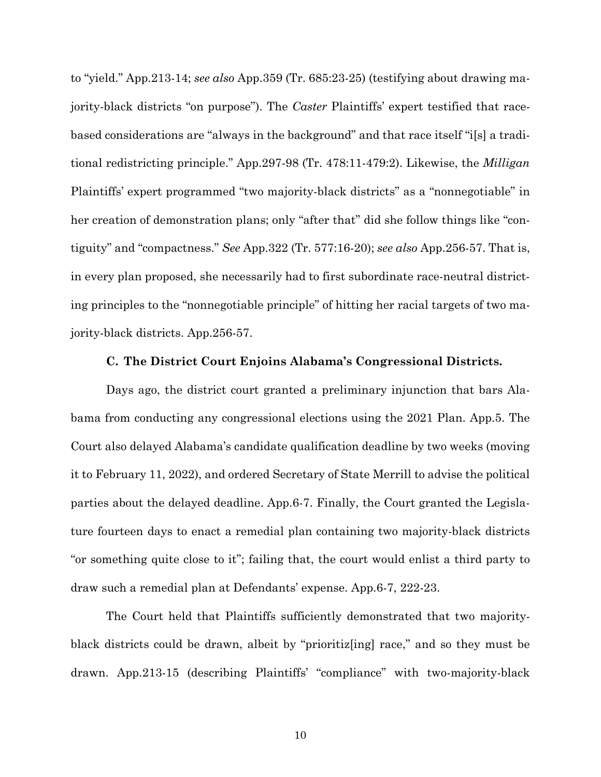to "yield." App.213-14; *see also* App.359 (Tr. 685:23-25) (testifying about drawing majority-black districts "on purpose"). The *Caster* Plaintiffs' expert testified that racebased considerations are "always in the background" and that race itself "i[s] a traditional redistricting principle." App.297-98 (Tr. 478:11-479:2). Likewise, the *Milligan* Plaintiffs' expert programmed "two majority-black districts" as a "nonnegotiable" in her creation of demonstration plans; only "after that" did she follow things like "contiguity" and "compactness." *See* App.322 (Tr. 577:16-20); *see also* App.256-57. That is, in every plan proposed, she necessarily had to first subordinate race-neutral districting principles to the "nonnegotiable principle" of hitting her racial targets of two majority-black districts. App.256-57.

#### **C. The District Court Enjoins Alabama's Congressional Districts.**

Days ago, the district court granted a preliminary injunction that bars Alabama from conducting any congressional elections using the 2021 Plan. App.5. The Court also delayed Alabama's candidate qualification deadline by two weeks (moving it to February 11, 2022), and ordered Secretary of State Merrill to advise the political parties about the delayed deadline. App.6-7. Finally, the Court granted the Legislature fourteen days to enact a remedial plan containing two majority-black districts "or something quite close to it"; failing that, the court would enlist a third party to draw such a remedial plan at Defendants' expense. App.6-7, 222-23.

The Court held that Plaintiffs sufficiently demonstrated that two majorityblack districts could be drawn, albeit by "prioritiz[ing] race," and so they must be drawn. App.213-15 (describing Plaintiffs' "compliance" with two-majority-black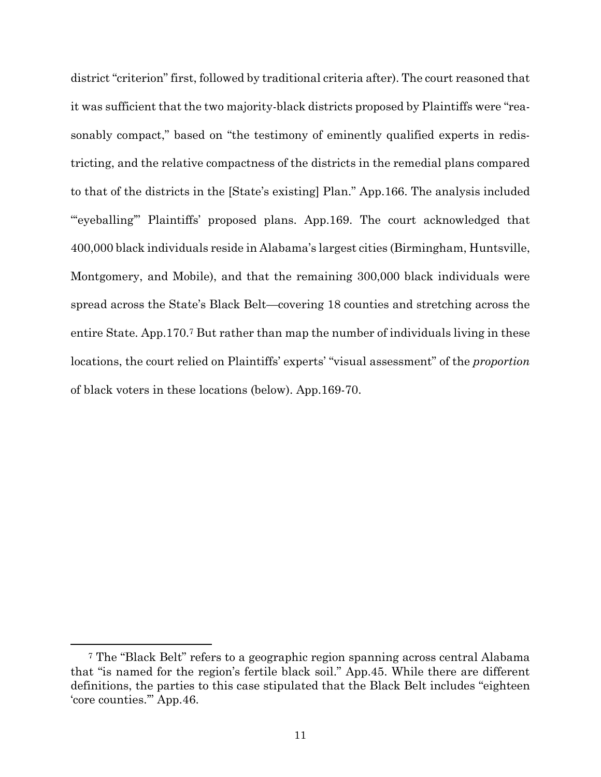district "criterion" first, followed by traditional criteria after). The court reasoned that it was sufficient that the two majority-black districts proposed by Plaintiffs were "reasonably compact," based on "the testimony of eminently qualified experts in redistricting, and the relative compactness of the districts in the remedial plans compared to that of the districts in the [State's existing] Plan." App.166. The analysis included "'eyeballing'" Plaintiffs' proposed plans. App.169. The court acknowledged that 400,000 black individuals reside in Alabama's largest cities (Birmingham, Huntsville, Montgomery, and Mobile), and that the remaining 300,000 black individuals were spread across the State's Black Belt—covering 18 counties and stretching across the entire State. App.170.<sup>7</sup> But rather than map the number of individuals living in these locations, the court relied on Plaintiffs' experts' "visual assessment" of the *proportion* of black voters in these locations (below). App.169-70.

<sup>7</sup> The "Black Belt" refers to a geographic region spanning across central Alabama that "is named for the region's fertile black soil." App.45. While there are different definitions, the parties to this case stipulated that the Black Belt includes "eighteen 'core counties.'" App.46.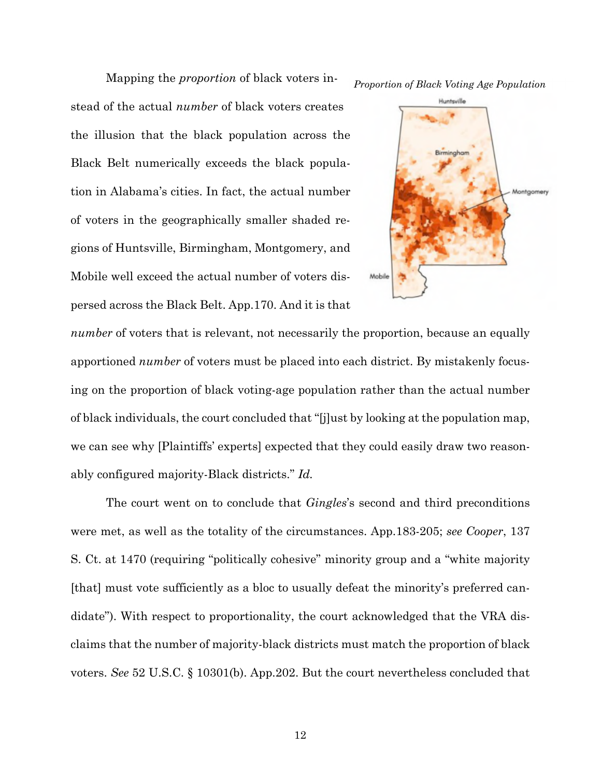*Proportion of Black Voting Age Population*

stead of the actual *number* of black voters creates the illusion that the black population across the Black Belt numerically exceeds the black population in Alabama's cities. In fact, the actual number of voters in the geographically smaller shaded regions of Huntsville, Birmingham, Montgomery, and Mobile well exceed the actual number of voters dispersed across the Black Belt. App.170. And it is that

Mapping the *proportion* of black voters in-



*number* of voters that is relevant, not necessarily the proportion, because an equally apportioned *number* of voters must be placed into each district. By mistakenly focusing on the proportion of black voting-age population rather than the actual number of black individuals, the court concluded that "[j]ust by looking at the population map, we can see why [Plaintiffs' experts] expected that they could easily draw two reasonably configured majority-Black districts." *Id.*

The court went on to conclude that *Gingles*'s second and third preconditions were met, as well as the totality of the circumstances. App.183-205; *see Cooper*, 137 S. Ct. at 1470 (requiring "politically cohesive" minority group and a "white majority [that] must vote sufficiently as a bloc to usually defeat the minority's preferred candidate"). With respect to proportionality, the court acknowledged that the VRA disclaims that the number of majority-black districts must match the proportion of black voters. *See* 52 U.S.C. § 10301(b). App.202. But the court nevertheless concluded that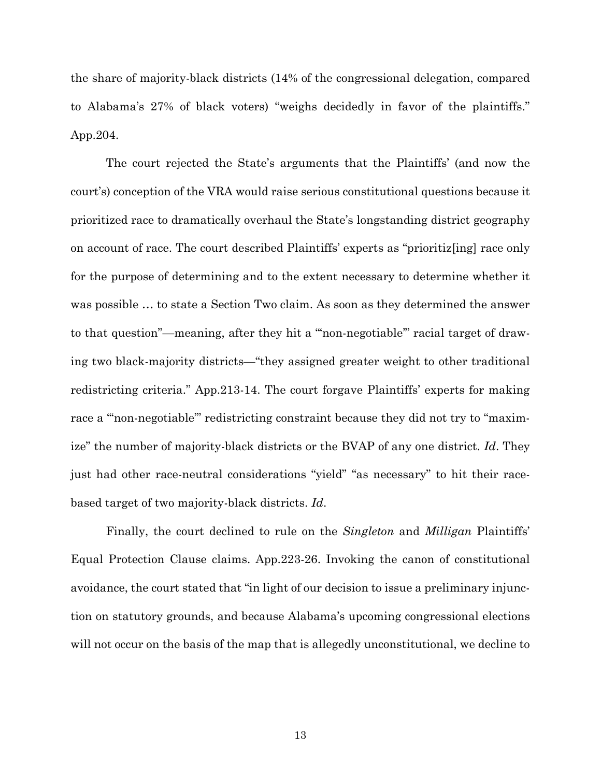the share of majority-black districts (14% of the congressional delegation, compared to Alabama's 27% of black voters) "weighs decidedly in favor of the plaintiffs." App.204.

The court rejected the State's arguments that the Plaintiffs' (and now the court's) conception of the VRA would raise serious constitutional questions because it prioritized race to dramatically overhaul the State's longstanding district geography on account of race. The court described Plaintiffs' experts as "prioritiz[ing] race only for the purpose of determining and to the extent necessary to determine whether it was possible … to state a Section Two claim. As soon as they determined the answer to that question"—meaning, after they hit a "'non-negotiable'" racial target of drawing two black-majority districts—"they assigned greater weight to other traditional redistricting criteria." App.213-14. The court forgave Plaintiffs' experts for making race a "'non-negotiable'" redistricting constraint because they did not try to "maximize" the number of majority-black districts or the BVAP of any one district. *Id*. They just had other race-neutral considerations "yield" "as necessary" to hit their racebased target of two majority-black districts. *Id*.

Finally, the court declined to rule on the *Singleton* and *Milligan* Plaintiffs' Equal Protection Clause claims. App.223-26. Invoking the canon of constitutional avoidance, the court stated that "in light of our decision to issue a preliminary injunction on statutory grounds, and because Alabama's upcoming congressional elections will not occur on the basis of the map that is allegedly unconstitutional, we decline to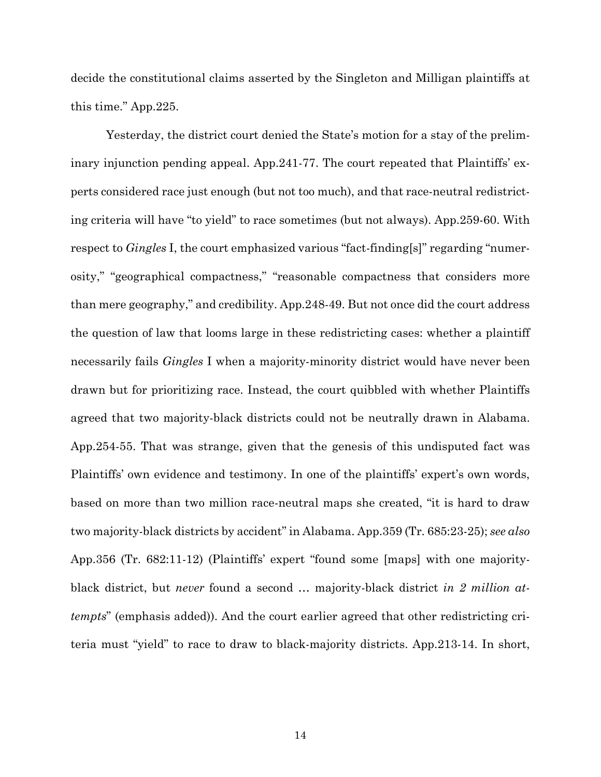decide the constitutional claims asserted by the Singleton and Milligan plaintiffs at this time." App.225.

Yesterday, the district court denied the State's motion for a stay of the preliminary injunction pending appeal. App.241-77. The court repeated that Plaintiffs' experts considered race just enough (but not too much), and that race-neutral redistricting criteria will have "to yield" to race sometimes (but not always). App.259-60. With respect to *Gingles* I, the court emphasized various "fact-finding[s]" regarding "numerosity," "geographical compactness," "reasonable compactness that considers more than mere geography," and credibility. App.248-49. But not once did the court address the question of law that looms large in these redistricting cases: whether a plaintiff necessarily fails *Gingles* I when a majority-minority district would have never been drawn but for prioritizing race. Instead, the court quibbled with whether Plaintiffs agreed that two majority-black districts could not be neutrally drawn in Alabama. App.254-55. That was strange, given that the genesis of this undisputed fact was Plaintiffs' own evidence and testimony. In one of the plaintiffs' expert's own words, based on more than two million race-neutral maps she created, "it is hard to draw two majority-black districts by accident" in Alabama. App.359 (Tr. 685:23-25); *see also* App.356 (Tr. 682:11-12) (Plaintiffs' expert "found some [maps] with one majorityblack district, but *never* found a second … majority-black district *in 2 million attempts*" (emphasis added)). And the court earlier agreed that other redistricting criteria must "yield" to race to draw to black-majority districts. App.213-14. In short,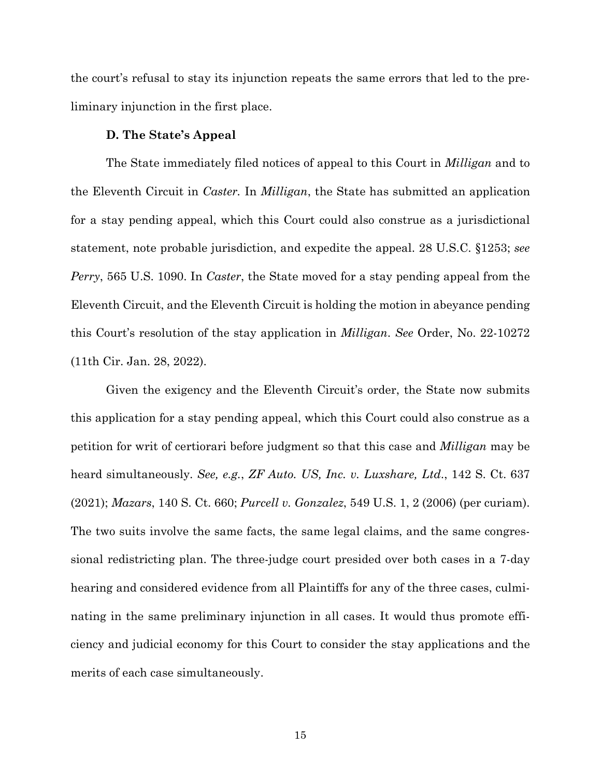the court's refusal to stay its injunction repeats the same errors that led to the preliminary injunction in the first place.

#### **D. The State's Appeal**

The State immediately filed notices of appeal to this Court in *Milligan* and to the Eleventh Circuit in *Caster.* In *Milligan*, the State has submitted an application for a stay pending appeal, which this Court could also construe as a jurisdictional statement, note probable jurisdiction, and expedite the appeal. 28 U.S.C. §1253; *see Perry*, 565 U.S. 1090. In *Caster*, the State moved for a stay pending appeal from the Eleventh Circuit, and the Eleventh Circuit is holding the motion in abeyance pending this Court's resolution of the stay application in *Milligan*. *See* Order, No. 22-10272 (11th Cir. Jan. 28, 2022).

Given the exigency and the Eleventh Circuit's order, the State now submits this application for a stay pending appeal, which this Court could also construe as a petition for writ of certiorari before judgment so that this case and *Milligan* may be heard simultaneously. *See, e.g.*, *ZF Auto. US, Inc. v. Luxshare, Ltd*., 142 S. Ct. 637 (2021); *Mazars*, 140 S. Ct. 660; *Purcell v. Gonzalez*, 549 U.S. 1, 2 (2006) (per curiam). The two suits involve the same facts, the same legal claims, and the same congressional redistricting plan. The three-judge court presided over both cases in a 7-day hearing and considered evidence from all Plaintiffs for any of the three cases, culminating in the same preliminary injunction in all cases. It would thus promote efficiency and judicial economy for this Court to consider the stay applications and the merits of each case simultaneously.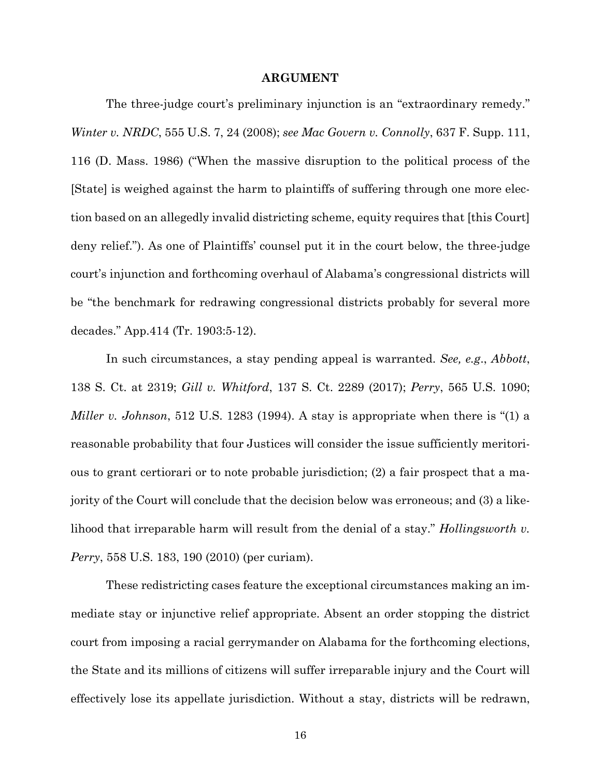#### **ARGUMENT**

The three-judge court's preliminary injunction is an "extraordinary remedy." *Winter v. NRDC*, 555 U.S. 7, 24 (2008); *see Mac Govern v. Connolly*, 637 F. Supp. 111, 116 (D. Mass. 1986) ("When the massive disruption to the political process of the [State] is weighed against the harm to plaintiffs of suffering through one more election based on an allegedly invalid districting scheme, equity requires that [this Court] deny relief."). As one of Plaintiffs' counsel put it in the court below, the three-judge court's injunction and forthcoming overhaul of Alabama's congressional districts will be "the benchmark for redrawing congressional districts probably for several more decades." App.414 (Tr. 1903:5-12).

In such circumstances, a stay pending appeal is warranted. *See, e.g*., *Abbott*, 138 S. Ct. at 2319; *Gill v. Whitford*, 137 S. Ct. 2289 (2017); *Perry*, 565 U.S. 1090; *Miller v. Johnson*, 512 U.S. 1283 (1994). A stay is appropriate when there is "(1) a reasonable probability that four Justices will consider the issue sufficiently meritorious to grant certiorari or to note probable jurisdiction; (2) a fair prospect that a majority of the Court will conclude that the decision below was erroneous; and (3) a likelihood that irreparable harm will result from the denial of a stay." *Hollingsworth v. Perry*, 558 U.S. 183, 190 (2010) (per curiam).

These redistricting cases feature the exceptional circumstances making an immediate stay or injunctive relief appropriate. Absent an order stopping the district court from imposing a racial gerrymander on Alabama for the forthcoming elections, the State and its millions of citizens will suffer irreparable injury and the Court will effectively lose its appellate jurisdiction. Without a stay, districts will be redrawn,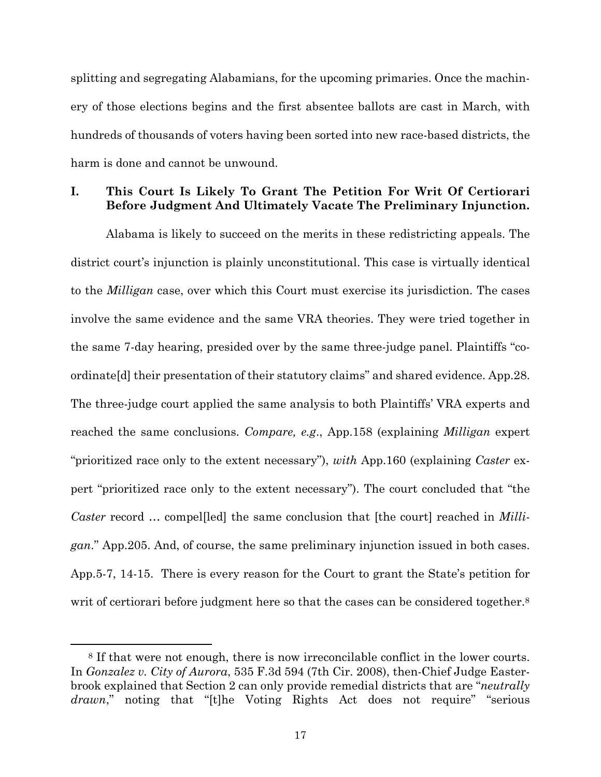splitting and segregating Alabamians, for the upcoming primaries. Once the machinery of those elections begins and the first absentee ballots are cast in March, with hundreds of thousands of voters having been sorted into new race-based districts, the harm is done and cannot be unwound.

# **I. This Court Is Likely To Grant The Petition For Writ Of Certiorari Before Judgment And Ultimately Vacate The Preliminary Injunction.**

Alabama is likely to succeed on the merits in these redistricting appeals. The district court's injunction is plainly unconstitutional. This case is virtually identical to the *Milligan* case, over which this Court must exercise its jurisdiction. The cases involve the same evidence and the same VRA theories. They were tried together in the same 7-day hearing, presided over by the same three-judge panel. Plaintiffs "coordinate[d] their presentation of their statutory claims" and shared evidence. App.28. The three-judge court applied the same analysis to both Plaintiffs' VRA experts and reached the same conclusions. *Compare, e.g*., App.158 (explaining *Milligan* expert "prioritized race only to the extent necessary"), *with* App.160 (explaining *Caster* expert "prioritized race only to the extent necessary"). The court concluded that "the *Caster* record … compel[led] the same conclusion that [the court] reached in *Milligan*." App.205. And, of course, the same preliminary injunction issued in both cases. App.5-7, 14-15. There is every reason for the Court to grant the State's petition for writ of certiorari before judgment here so that the cases can be considered together.<sup>8</sup>

<sup>8</sup> If that were not enough, there is now irreconcilable conflict in the lower courts. In *Gonzalez v. City of Aurora*, 535 F.3d 594 (7th Cir. 2008), then-Chief Judge Easterbrook explained that Section 2 can only provide remedial districts that are "*neutrally drawn*," noting that "[t]he Voting Rights Act does not require" "serious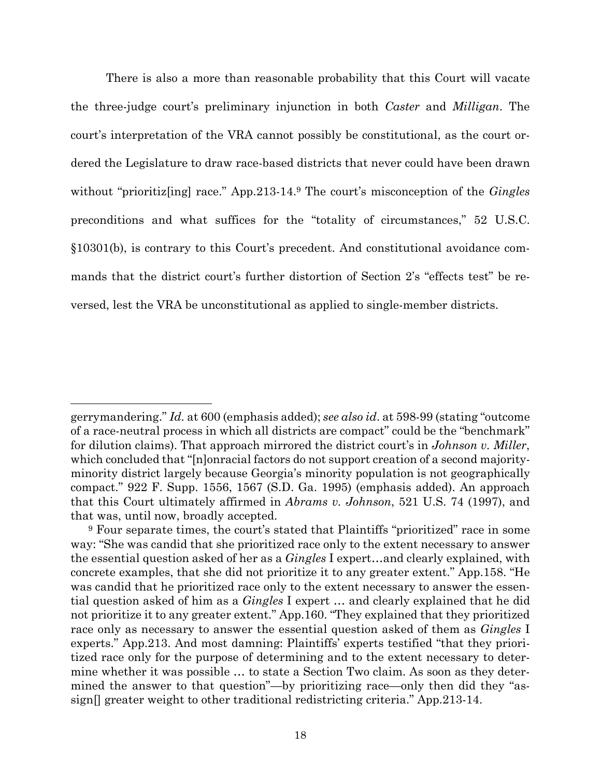There is also a more than reasonable probability that this Court will vacate the three-judge court's preliminary injunction in both *Caster* and *Milligan*. The court's interpretation of the VRA cannot possibly be constitutional, as the court ordered the Legislature to draw race-based districts that never could have been drawn without "prioritiz[ing] race." App.213-14.<sup>9</sup> The court's misconception of the *Gingles* preconditions and what suffices for the "totality of circumstances," 52 U.S.C. §10301(b), is contrary to this Court's precedent. And constitutional avoidance commands that the district court's further distortion of Section 2's "effects test" be reversed, lest the VRA be unconstitutional as applied to single-member districts.

gerrymandering." *Id.* at 600 (emphasis added); *see also id*. at 598-99 (stating "outcome of a race-neutral process in which all districts are compact" could be the "benchmark" for dilution claims). That approach mirrored the district court's in *Johnson v. Miller*, which concluded that "[n]onracial factors do not support creation of a second majorityminority district largely because Georgia's minority population is not geographically compact." 922 F. Supp. 1556, 1567 (S.D. Ga. 1995) (emphasis added). An approach that this Court ultimately affirmed in *Abrams v. Johnson*, 521 U.S. 74 (1997), and that was, until now, broadly accepted.

<sup>9</sup> Four separate times, the court's stated that Plaintiffs "prioritized" race in some way: "She was candid that she prioritized race only to the extent necessary to answer the essential question asked of her as a *Gingles* I expert…and clearly explained, with concrete examples, that she did not prioritize it to any greater extent." App.158. "He was candid that he prioritized race only to the extent necessary to answer the essential question asked of him as a *Gingles* I expert … and clearly explained that he did not prioritize it to any greater extent." App.160. "They explained that they prioritized race only as necessary to answer the essential question asked of them as *Gingles* I experts." App.213. And most damning: Plaintiffs' experts testified "that they prioritized race only for the purpose of determining and to the extent necessary to determine whether it was possible … to state a Section Two claim. As soon as they determined the answer to that question"—by prioritizing race—only then did they "assign[] greater weight to other traditional redistricting criteria." App.213-14.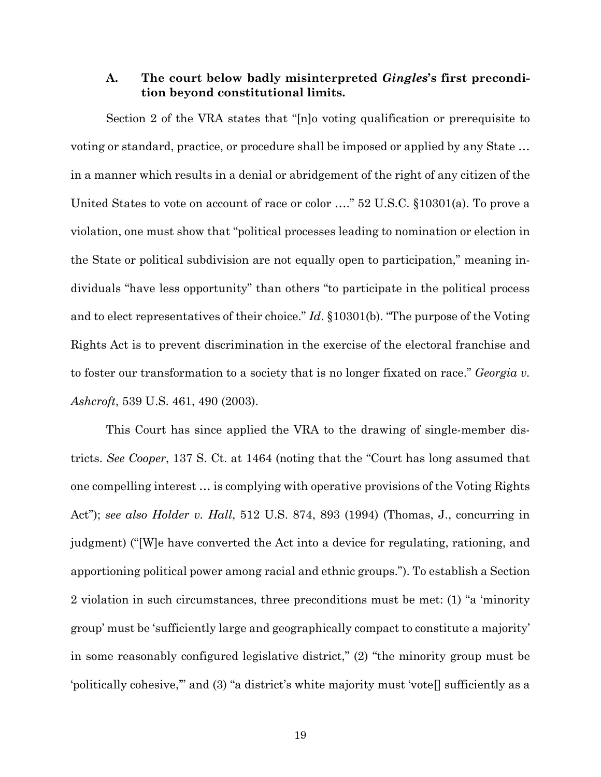### **A. The court below badly misinterpreted** *Gingles***'s first precondition beyond constitutional limits.**

Section 2 of the VRA states that "[n]o voting qualification or prerequisite to voting or standard, practice, or procedure shall be imposed or applied by any State … in a manner which results in a denial or abridgement of the right of any citizen of the United States to vote on account of race or color …." 52 U.S.C. §10301(a). To prove a violation, one must show that "political processes leading to nomination or election in the State or political subdivision are not equally open to participation," meaning individuals "have less opportunity" than others "to participate in the political process and to elect representatives of their choice." *Id*. §10301(b). "The purpose of the Voting Rights Act is to prevent discrimination in the exercise of the electoral franchise and to foster our transformation to a society that is no longer fixated on race." *Georgia v. Ashcroft*, 539 U.S. 461, 490 (2003).

This Court has since applied the VRA to the drawing of single-member districts. *See Cooper*, 137 S. Ct. at 1464 (noting that the "Court has long assumed that one compelling interest … is complying with operative provisions of the Voting Rights Act"); *see also Holder v. Hall*, 512 U.S. 874, 893 (1994) (Thomas, J., concurring in judgment) ("[W]e have converted the Act into a device for regulating, rationing, and apportioning political power among racial and ethnic groups."). To establish a Section 2 violation in such circumstances, three preconditions must be met: (1) "a 'minority group' must be 'sufficiently large and geographically compact to constitute a majority' in some reasonably configured legislative district," (2) "the minority group must be 'politically cohesive,'" and (3) "a district's white majority must 'vote[] sufficiently as a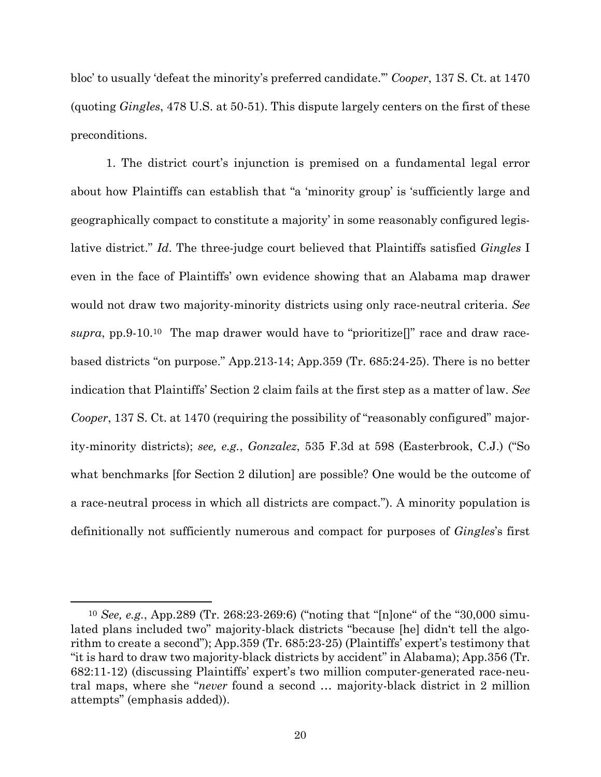bloc' to usually 'defeat the minority's preferred candidate.'" *Cooper*, 137 S. Ct. at 1470 (quoting *Gingles*, 478 U.S. at 50-51). This dispute largely centers on the first of these preconditions.

1. The district court's injunction is premised on a fundamental legal error about how Plaintiffs can establish that "a 'minority group' is 'sufficiently large and geographically compact to constitute a majority' in some reasonably configured legislative district." *Id*. The three-judge court believed that Plaintiffs satisfied *Gingles* I even in the face of Plaintiffs' own evidence showing that an Alabama map drawer would not draw two majority-minority districts using only race-neutral criteria. *See supra*, pp.9-10.<sup>10</sup> The map drawer would have to "prioritize[]" race and draw racebased districts "on purpose." App.213-14; App.359 (Tr. 685:24-25). There is no better indication that Plaintiffs' Section 2 claim fails at the first step as a matter of law. *See Cooper*, 137 S. Ct. at 1470 (requiring the possibility of "reasonably configured" majority-minority districts); *see, e.g.*, *Gonzalez*, 535 F.3d at 598 (Easterbrook, C.J.) ("So what benchmarks [for Section 2 dilution] are possible? One would be the outcome of a race-neutral process in which all districts are compact."). A minority population is definitionally not sufficiently numerous and compact for purposes of *Gingles*'s first

<sup>10</sup> *See, e.g.*, App.289 (Tr. 268:23-269:6) ("noting that "[n]one" of the "30,000 simulated plans included two" majority-black districts "because [he] didn't tell the algorithm to create a second"); App.359 (Tr. 685:23-25) (Plaintiffs' expert's testimony that "it is hard to draw two majority-black districts by accident" in Alabama); App.356 (Tr. 682:11-12) (discussing Plaintiffs' expert's two million computer-generated race-neutral maps, where she "*never* found a second … majority-black district in 2 million attempts" (emphasis added)).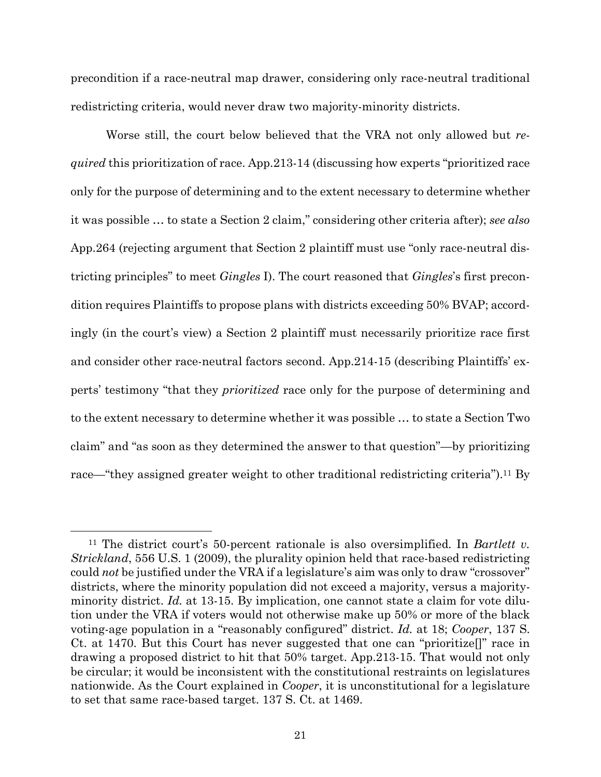precondition if a race-neutral map drawer, considering only race-neutral traditional redistricting criteria, would never draw two majority-minority districts.

Worse still, the court below believed that the VRA not only allowed but *required* this prioritization of race. App.213-14 (discussing how experts "prioritized race only for the purpose of determining and to the extent necessary to determine whether it was possible … to state a Section 2 claim," considering other criteria after); *see also* App.264 (rejecting argument that Section 2 plaintiff must use "only race-neutral districting principles" to meet *Gingles* I). The court reasoned that *Gingles*'s first precondition requires Plaintiffs to propose plans with districts exceeding 50% BVAP; accordingly (in the court's view) a Section 2 plaintiff must necessarily prioritize race first and consider other race-neutral factors second. App.214-15 (describing Plaintiffs' experts' testimony "that they *prioritized* race only for the purpose of determining and to the extent necessary to determine whether it was possible … to state a Section Two claim" and "as soon as they determined the answer to that question"—by prioritizing race—"they assigned greater weight to other traditional redistricting criteria").<sup>11</sup> By

<sup>11</sup> The district court's 50-percent rationale is also oversimplified. In *Bartlett v. Strickland*, 556 U.S. 1 (2009), the plurality opinion held that race-based redistricting could *not* be justified under the VRA if a legislature's aim was only to draw "crossover" districts, where the minority population did not exceed a majority, versus a majorityminority district. *Id.* at 13-15. By implication, one cannot state a claim for vote dilution under the VRA if voters would not otherwise make up 50% or more of the black voting-age population in a "reasonably configured" district. *Id.* at 18; *Cooper*, 137 S. Ct. at 1470. But this Court has never suggested that one can "prioritize[]" race in drawing a proposed district to hit that 50% target. App.213-15. That would not only be circular; it would be inconsistent with the constitutional restraints on legislatures nationwide. As the Court explained in *Cooper*, it is unconstitutional for a legislature to set that same race-based target. 137 S. Ct. at 1469.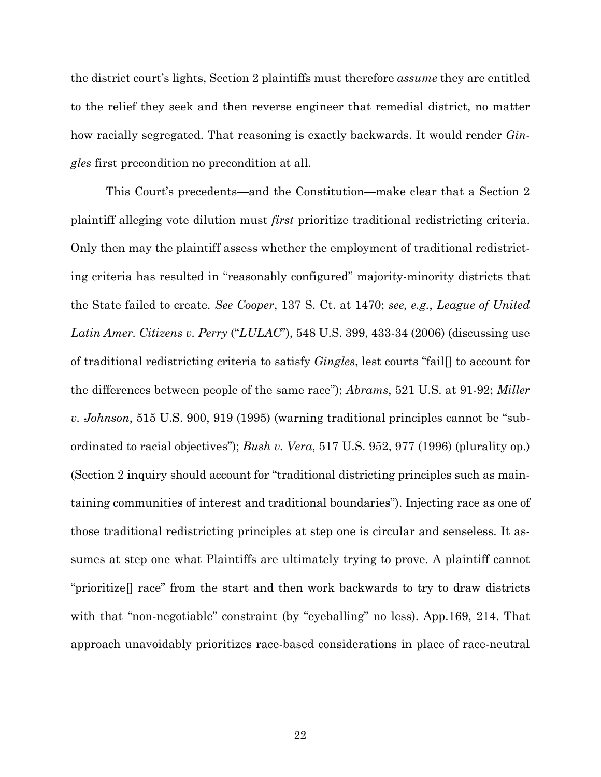the district court's lights, Section 2 plaintiffs must therefore *assume* they are entitled to the relief they seek and then reverse engineer that remedial district, no matter how racially segregated. That reasoning is exactly backwards. It would render *Gingles* first precondition no precondition at all.

This Court's precedents—and the Constitution—make clear that a Section 2 plaintiff alleging vote dilution must *first* prioritize traditional redistricting criteria. Only then may the plaintiff assess whether the employment of traditional redistricting criteria has resulted in "reasonably configured" majority-minority districts that the State failed to create. *See Cooper*, 137 S. Ct. at 1470; *see, e.g.*, *League of United Latin Amer. Citizens v. Perry* ("*LULAC*"), 548 U.S. 399, 433-34 (2006) (discussing use of traditional redistricting criteria to satisfy *Gingles*, lest courts "fail[] to account for the differences between people of the same race"); *Abrams*, 521 U.S. at 91-92; *Miller v. Johnson*, 515 U.S. 900, 919 (1995) (warning traditional principles cannot be "subordinated to racial objectives"); *Bush v. Vera*, 517 U.S. 952, 977 (1996) (plurality op.) (Section 2 inquiry should account for "traditional districting principles such as maintaining communities of interest and traditional boundaries"). Injecting race as one of those traditional redistricting principles at step one is circular and senseless. It assumes at step one what Plaintiffs are ultimately trying to prove. A plaintiff cannot "prioritize[] race" from the start and then work backwards to try to draw districts with that "non-negotiable" constraint (by "eyeballing" no less). App.169, 214. That approach unavoidably prioritizes race-based considerations in place of race-neutral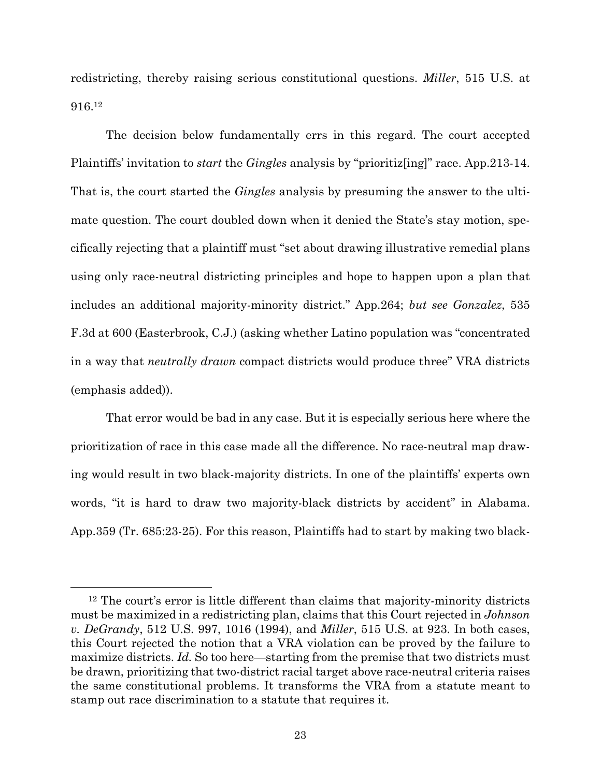redistricting, thereby raising serious constitutional questions. *Miller*, 515 U.S. at 916.<sup>12</sup>

The decision below fundamentally errs in this regard. The court accepted Plaintiffs' invitation to *start* the *Gingles* analysis by "prioritiz[ing]" race. App.213-14. That is, the court started the *Gingles* analysis by presuming the answer to the ultimate question. The court doubled down when it denied the State's stay motion, specifically rejecting that a plaintiff must "set about drawing illustrative remedial plans using only race-neutral districting principles and hope to happen upon a plan that includes an additional majority-minority district." App.264; *but see Gonzalez*, 535 F.3d at 600 (Easterbrook, C.J.) (asking whether Latino population was "concentrated in a way that *neutrally drawn* compact districts would produce three" VRA districts (emphasis added)).

That error would be bad in any case. But it is especially serious here where the prioritization of race in this case made all the difference. No race-neutral map drawing would result in two black-majority districts. In one of the plaintiffs' experts own words, "it is hard to draw two majority-black districts by accident" in Alabama. App.359 (Tr. 685:23-25). For this reason, Plaintiffs had to start by making two black-

<sup>12</sup> The court's error is little different than claims that majority-minority districts must be maximized in a redistricting plan, claims that this Court rejected in *Johnson v. DeGrandy*, 512 U.S. 997, 1016 (1994), and *Miller*, 515 U.S. at 923. In both cases, this Court rejected the notion that a VRA violation can be proved by the failure to maximize districts. *Id.* So too here—starting from the premise that two districts must be drawn, prioritizing that two-district racial target above race-neutral criteria raises the same constitutional problems. It transforms the VRA from a statute meant to stamp out race discrimination to a statute that requires it.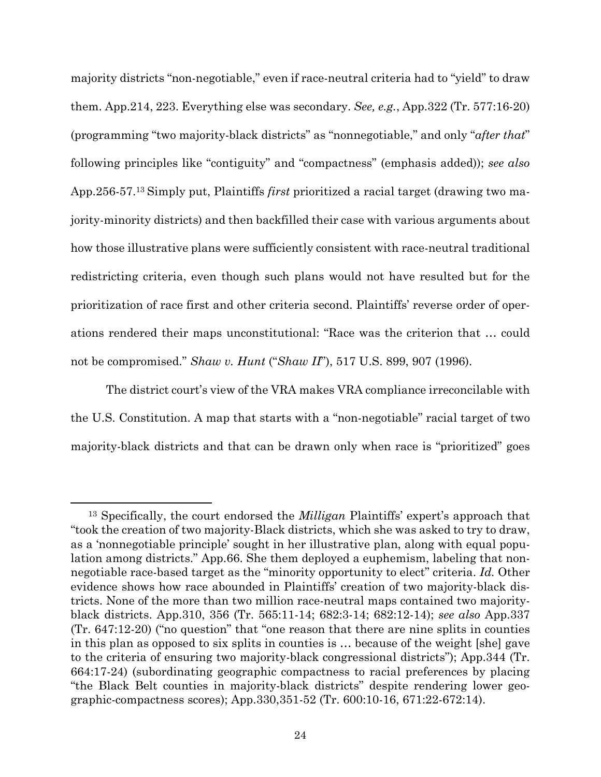majority districts "non-negotiable," even if race-neutral criteria had to "yield" to draw them. App.214, 223. Everything else was secondary. *See, e.g.*, App.322 (Tr. 577:16-20) (programming "two majority-black districts" as "nonnegotiable," and only "*after that*" following principles like "contiguity" and "compactness" (emphasis added)); *see also* App.256-57.<sup>13</sup> Simply put, Plaintiffs *first* prioritized a racial target (drawing two majority-minority districts) and then backfilled their case with various arguments about how those illustrative plans were sufficiently consistent with race-neutral traditional redistricting criteria, even though such plans would not have resulted but for the prioritization of race first and other criteria second. Plaintiffs' reverse order of operations rendered their maps unconstitutional: "Race was the criterion that … could not be compromised." *Shaw v. Hunt* ("*Shaw II*"), 517 U.S. 899, 907 (1996).

The district court's view of the VRA makes VRA compliance irreconcilable with the U.S. Constitution. A map that starts with a "non-negotiable" racial target of two majority-black districts and that can be drawn only when race is "prioritized" goes

<sup>13</sup> Specifically, the court endorsed the *Milligan* Plaintiffs' expert's approach that "took the creation of two majority-Black districts, which she was asked to try to draw, as a 'nonnegotiable principle' sought in her illustrative plan, along with equal population among districts." App.66. She them deployed a euphemism, labeling that nonnegotiable race-based target as the "minority opportunity to elect" criteria. *Id.* Other evidence shows how race abounded in Plaintiffs' creation of two majority-black districts. None of the more than two million race-neutral maps contained two majorityblack districts. App.310, 356 (Tr. 565:11-14; 682:3-14; 682:12-14); *see also* App.337 (Tr. 647:12-20) ("no question" that "one reason that there are nine splits in counties in this plan as opposed to six splits in counties is … because of the weight [she] gave to the criteria of ensuring two majority-black congressional districts"); App.344 (Tr. 664:17-24) (subordinating geographic compactness to racial preferences by placing "the Black Belt counties in majority-black districts" despite rendering lower geographic-compactness scores); App.330,351-52 (Tr. 600:10-16, 671:22-672:14).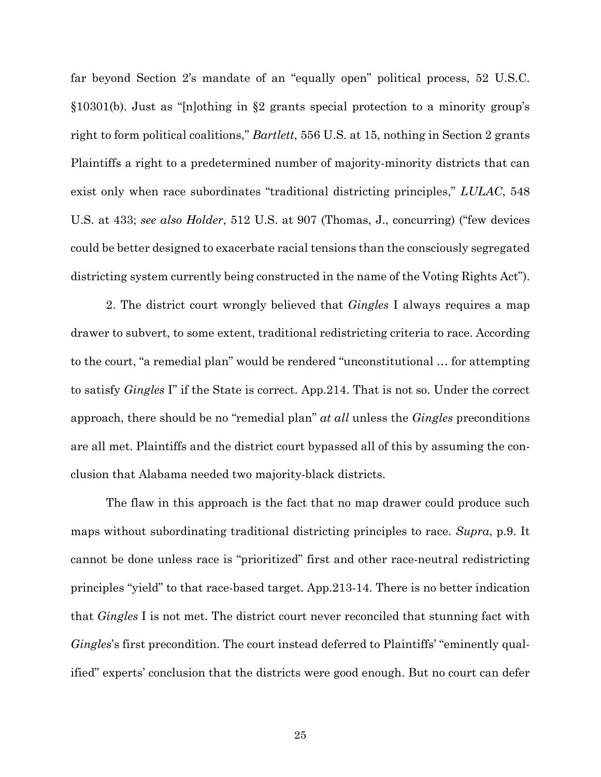far beyond Section 2's mandate of an "equally open" political process, 52 U.S.C. §10301(b). Just as "[n]othing in §2 grants special protection to a minority group's right to form political coalitions," *Bartlett*, 556 U.S. at 15, nothing in Section 2 grants Plaintiffs a right to a predetermined number of majority-minority districts that can exist only when race subordinates "traditional districting principles," *LULAC*, 548 U.S. at 433; *see also Holder*, 512 U.S. at 907 (Thomas, J., concurring) ("few devices could be better designed to exacerbate racial tensions than the consciously segregated districting system currently being constructed in the name of the Voting Rights Act").

2. The district court wrongly believed that *Gingles* I always requires a map drawer to subvert, to some extent, traditional redistricting criteria to race. According to the court, "a remedial plan" would be rendered "unconstitutional … for attempting to satisfy *Gingles* I" if the State is correct. App.214. That is not so. Under the correct approach, there should be no "remedial plan" *at all* unless the *Gingles* preconditions are all met. Plaintiffs and the district court bypassed all of this by assuming the conclusion that Alabama needed two majority-black districts.

The flaw in this approach is the fact that no map drawer could produce such maps without subordinating traditional districting principles to race. *Supra*, p.9. It cannot be done unless race is "prioritized" first and other race-neutral redistricting principles "yield" to that race-based target. App.213-14. There is no better indication that *Gingles* I is not met. The district court never reconciled that stunning fact with *Gingles*'s first precondition. The court instead deferred to Plaintiffs' "eminently qualified" experts' conclusion that the districts were good enough. But no court can defer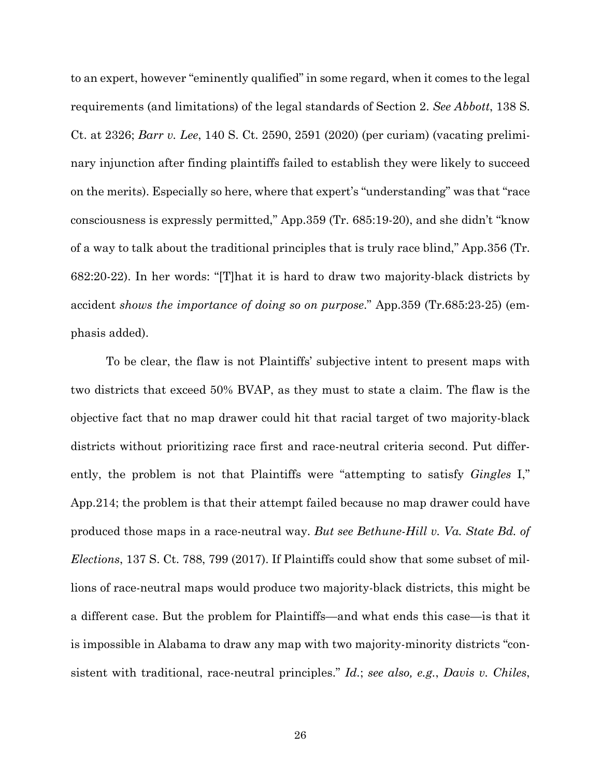to an expert, however "eminently qualified" in some regard, when it comes to the legal requirements (and limitations) of the legal standards of Section 2. *See Abbott*, 138 S. Ct. at 2326; *Barr v. Lee*, 140 S. Ct. 2590, 2591 (2020) (per curiam) (vacating preliminary injunction after finding plaintiffs failed to establish they were likely to succeed on the merits). Especially so here, where that expert's "understanding" was that "race consciousness is expressly permitted," App.359 (Tr. 685:19-20), and she didn't "know of a way to talk about the traditional principles that is truly race blind," App.356 (Tr. 682:20-22). In her words: "[T]hat it is hard to draw two majority-black districts by accident *shows the importance of doing so on purpose*." App.359 (Tr.685:23-25) (emphasis added).

To be clear, the flaw is not Plaintiffs' subjective intent to present maps with two districts that exceed 50% BVAP, as they must to state a claim. The flaw is the objective fact that no map drawer could hit that racial target of two majority-black districts without prioritizing race first and race-neutral criteria second. Put differently, the problem is not that Plaintiffs were "attempting to satisfy *Gingles* I," App.214; the problem is that their attempt failed because no map drawer could have produced those maps in a race-neutral way. *But see Bethune-Hill v. Va. State Bd. of Elections*, 137 S. Ct. 788, 799 (2017). If Plaintiffs could show that some subset of millions of race-neutral maps would produce two majority-black districts, this might be a different case. But the problem for Plaintiffs—and what ends this case—is that it is impossible in Alabama to draw any map with two majority-minority districts "consistent with traditional, race-neutral principles." *Id.*; *see also, e.g.*, *Davis v. Chiles*,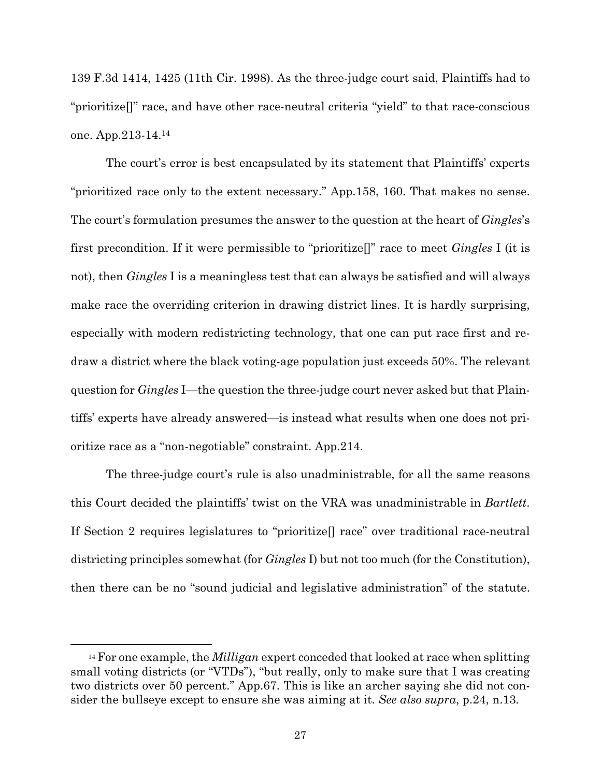139 F.3d 1414, 1425 (11th Cir. 1998). As the three-judge court said, Plaintiffs had to "prioritize[]" race, and have other race-neutral criteria "yield" to that race-conscious one. App.213-14.<sup>14</sup>

The court's error is best encapsulated by its statement that Plaintiffs' experts "prioritized race only to the extent necessary." App.158, 160. That makes no sense. The court's formulation presumes the answer to the question at the heart of *Gingles*'s first precondition. If it were permissible to "prioritize[]" race to meet *Gingles* I (it is not), then *Gingles* I is a meaningless test that can always be satisfied and will always make race the overriding criterion in drawing district lines. It is hardly surprising, especially with modern redistricting technology, that one can put race first and redraw a district where the black voting-age population just exceeds 50%. The relevant question for *Gingles* I—the question the three-judge court never asked but that Plaintiffs' experts have already answered—is instead what results when one does not prioritize race as a "non-negotiable" constraint. App.214.

The three-judge court's rule is also unadministrable, for all the same reasons this Court decided the plaintiffs' twist on the VRA was unadministrable in *Bartlett*. If Section 2 requires legislatures to "prioritize[] race" over traditional race-neutral districting principles somewhat (for *Gingles* I) but not too much (for the Constitution), then there can be no "sound judicial and legislative administration" of the statute.

<sup>14</sup> For one example, the *Milligan* expert conceded that looked at race when splitting small voting districts (or "VTDs"), "but really, only to make sure that I was creating two districts over 50 percent." App.67. This is like an archer saying she did not consider the bullseye except to ensure she was aiming at it. *See also supra*, p.24, n.13*.*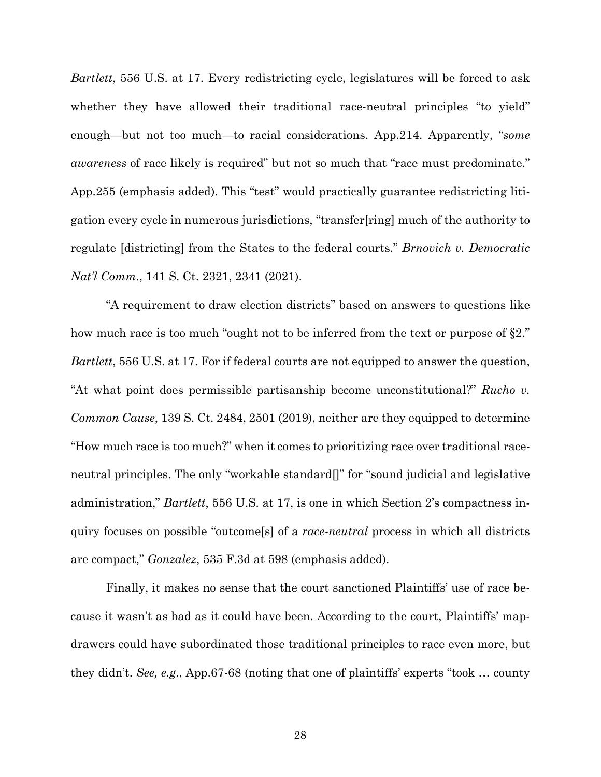*Bartlett*, 556 U.S. at 17. Every redistricting cycle, legislatures will be forced to ask whether they have allowed their traditional race-neutral principles "to yield" enough—but not too much—to racial considerations. App.214. Apparently, "*some awareness* of race likely is required" but not so much that "race must predominate." App.255 (emphasis added). This "test" would practically guarantee redistricting litigation every cycle in numerous jurisdictions, "transfer[ring] much of the authority to regulate [districting] from the States to the federal courts." *Brnovich v. Democratic Nat'l Comm*., 141 S. Ct. 2321, 2341 (2021).

"A requirement to draw election districts" based on answers to questions like how much race is too much "ought not to be inferred from the text or purpose of §2." *Bartlett*, 556 U.S. at 17. For if federal courts are not equipped to answer the question, "At what point does permissible partisanship become unconstitutional?" *Rucho v. Common Cause*, 139 S. Ct. 2484, 2501 (2019), neither are they equipped to determine "How much race is too much?" when it comes to prioritizing race over traditional raceneutral principles. The only "workable standard[]" for "sound judicial and legislative administration," *Bartlett*, 556 U.S. at 17, is one in which Section 2's compactness inquiry focuses on possible "outcome[s] of a *race-neutral* process in which all districts are compact," *Gonzalez*, 535 F.3d at 598 (emphasis added).

Finally, it makes no sense that the court sanctioned Plaintiffs' use of race because it wasn't as bad as it could have been. According to the court, Plaintiffs' mapdrawers could have subordinated those traditional principles to race even more, but they didn't. *See, e.g*., App.67-68 (noting that one of plaintiffs' experts "took … county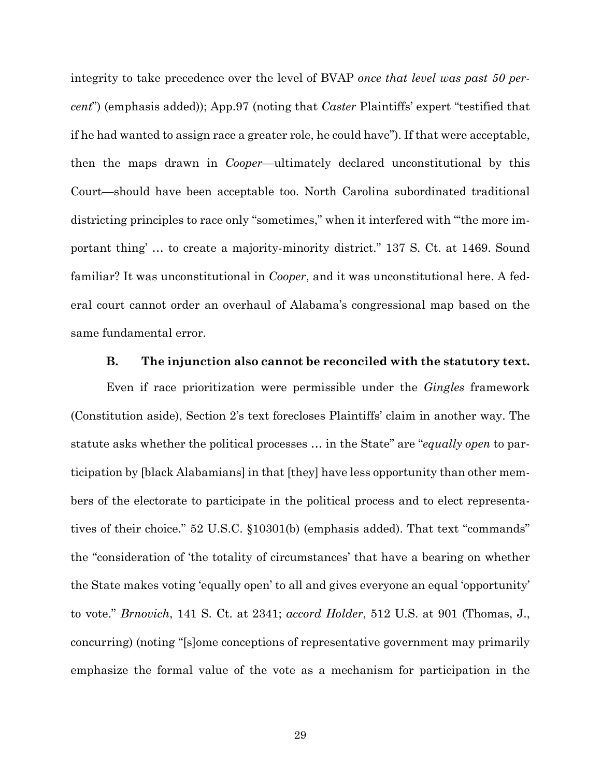integrity to take precedence over the level of BVAP *once that level was past 50 percent*") (emphasis added)); App.97 (noting that *Caster* Plaintiffs' expert "testified that if he had wanted to assign race a greater role, he could have"). If that were acceptable, then the maps drawn in *Cooper*—ultimately declared unconstitutional by this Court—should have been acceptable too. North Carolina subordinated traditional districting principles to race only "sometimes," when it interfered with "'the more important thing' … to create a majority-minority district." 137 S. Ct. at 1469. Sound familiar? It was unconstitutional in *Cooper*, and it was unconstitutional here. A federal court cannot order an overhaul of Alabama's congressional map based on the same fundamental error.

#### **B. The injunction also cannot be reconciled with the statutory text.**

Even if race prioritization were permissible under the *Gingles* framework (Constitution aside), Section 2's text forecloses Plaintiffs' claim in another way. The statute asks whether the political processes … in the State" are "*equally open* to participation by [black Alabamians] in that [they] have less opportunity than other members of the electorate to participate in the political process and to elect representatives of their choice." 52 U.S.C. §10301(b) (emphasis added). That text "commands" the "consideration of 'the totality of circumstances' that have a bearing on whether the State makes voting 'equally open' to all and gives everyone an equal 'opportunity' to vote." *Brnovich*, 141 S. Ct. at 2341; *accord Holder*, 512 U.S. at 901 (Thomas, J., concurring) (noting "[s]ome conceptions of representative government may primarily emphasize the formal value of the vote as a mechanism for participation in the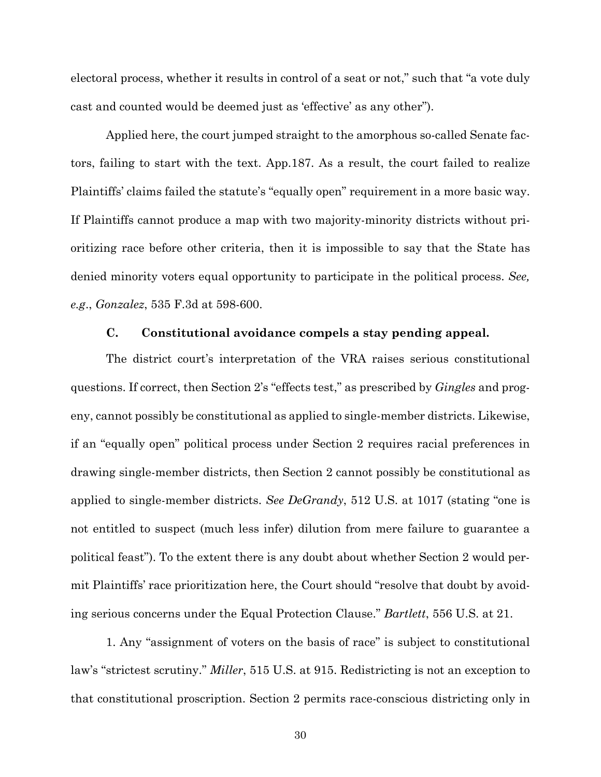electoral process, whether it results in control of a seat or not," such that "a vote duly cast and counted would be deemed just as 'effective' as any other").

Applied here, the court jumped straight to the amorphous so-called Senate factors, failing to start with the text. App.187. As a result, the court failed to realize Plaintiffs' claims failed the statute's "equally open" requirement in a more basic way. If Plaintiffs cannot produce a map with two majority-minority districts without prioritizing race before other criteria, then it is impossible to say that the State has denied minority voters equal opportunity to participate in the political process. *See, e.g*., *Gonzalez*, 535 F.3d at 598-600.

#### **C. Constitutional avoidance compels a stay pending appeal.**

The district court's interpretation of the VRA raises serious constitutional questions. If correct, then Section 2's "effects test," as prescribed by *Gingles* and progeny, cannot possibly be constitutional as applied to single-member districts. Likewise, if an "equally open" political process under Section 2 requires racial preferences in drawing single-member districts, then Section 2 cannot possibly be constitutional as applied to single-member districts. *See DeGrandy*, 512 U.S. at 1017 (stating "one is not entitled to suspect (much less infer) dilution from mere failure to guarantee a political feast"). To the extent there is any doubt about whether Section 2 would permit Plaintiffs' race prioritization here, the Court should "resolve that doubt by avoiding serious concerns under the Equal Protection Clause." *Bartlett*, 556 U.S. at 21.

1. Any "assignment of voters on the basis of race" is subject to constitutional law's "strictest scrutiny." *Miller*, 515 U.S. at 915. Redistricting is not an exception to that constitutional proscription. Section 2 permits race-conscious districting only in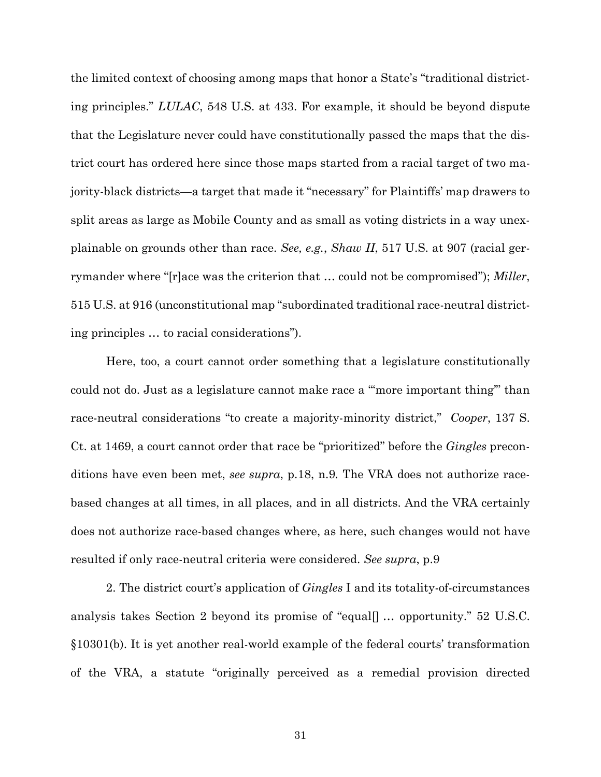the limited context of choosing among maps that honor a State's "traditional districting principles." *LULAC*, 548 U.S. at 433. For example, it should be beyond dispute that the Legislature never could have constitutionally passed the maps that the district court has ordered here since those maps started from a racial target of two majority-black districts—a target that made it "necessary" for Plaintiffs' map drawers to split areas as large as Mobile County and as small as voting districts in a way unexplainable on grounds other than race. *See, e.g.*, *Shaw II*, 517 U.S. at 907 (racial gerrymander where "[r]ace was the criterion that … could not be compromised"); *Miller*, 515 U.S. at 916 (unconstitutional map "subordinated traditional race-neutral districting principles … to racial considerations").

Here, too, a court cannot order something that a legislature constitutionally could not do. Just as a legislature cannot make race a "'more important thing'" than race-neutral considerations "to create a majority-minority district," *Cooper*, 137 S. Ct. at 1469, a court cannot order that race be "prioritized" before the *Gingles* preconditions have even been met, *see supra*, p.18, n.9*.* The VRA does not authorize racebased changes at all times, in all places, and in all districts. And the VRA certainly does not authorize race-based changes where, as here, such changes would not have resulted if only race-neutral criteria were considered. *See supra*, p.9

2. The district court's application of *Gingles* I and its totality-of-circumstances analysis takes Section 2 beyond its promise of "equal[] … opportunity." 52 U.S.C. §10301(b). It is yet another real-world example of the federal courts' transformation of the VRA, a statute "originally perceived as a remedial provision directed

31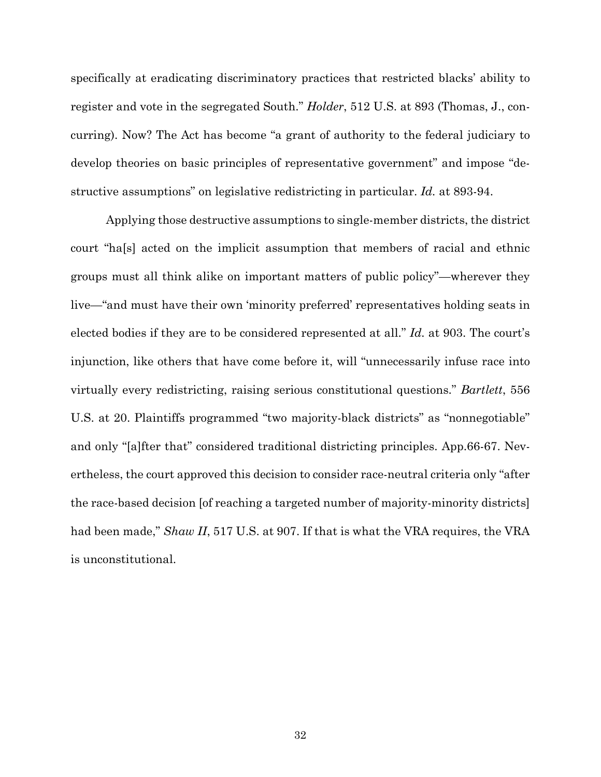specifically at eradicating discriminatory practices that restricted blacks' ability to register and vote in the segregated South." *Holder*, 512 U.S. at 893 (Thomas, J., concurring). Now? The Act has become "a grant of authority to the federal judiciary to develop theories on basic principles of representative government" and impose "destructive assumptions" on legislative redistricting in particular. *Id.* at 893-94.

Applying those destructive assumptions to single-member districts, the district court "ha[s] acted on the implicit assumption that members of racial and ethnic groups must all think alike on important matters of public policy"—wherever they live—"and must have their own 'minority preferred' representatives holding seats in elected bodies if they are to be considered represented at all." *Id.* at 903. The court's injunction, like others that have come before it, will "unnecessarily infuse race into virtually every redistricting, raising serious constitutional questions." *Bartlett*, 556 U.S. at 20. Plaintiffs programmed "two majority-black districts" as "nonnegotiable" and only "[a]fter that" considered traditional districting principles. App.66-67. Nevertheless, the court approved this decision to consider race-neutral criteria only "after the race-based decision [of reaching a targeted number of majority-minority districts] had been made," *Shaw II*, 517 U.S. at 907. If that is what the VRA requires, the VRA is unconstitutional.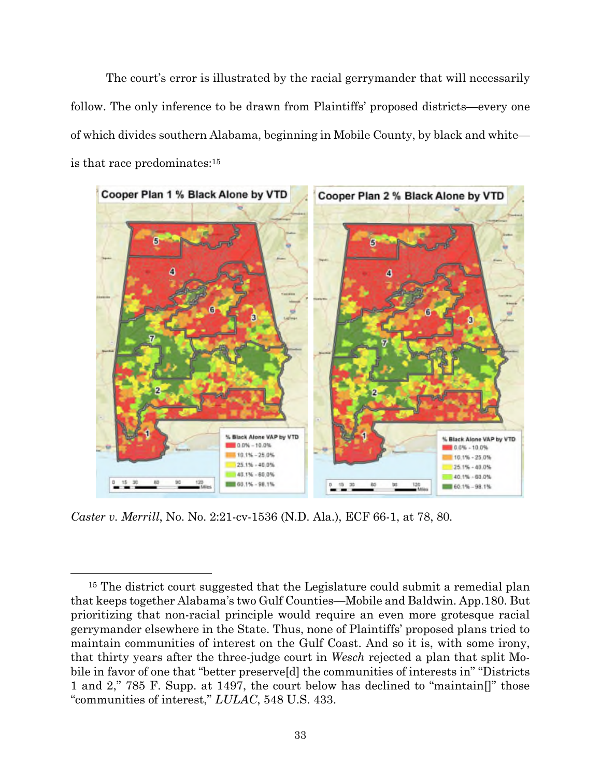The court's error is illustrated by the racial gerrymander that will necessarily follow. The only inference to be drawn from Plaintiffs' proposed districts—every one of which divides southern Alabama, beginning in Mobile County, by black and white is that race predominates:<sup>15</sup>



*Caster v. Merrill*, No. No. 2:21-cv-1536 (N.D. Ala.), ECF 66-1, at 78, 80*.*

<sup>&</sup>lt;sup>15</sup> The district court suggested that the Legislature could submit a remedial plan that keeps together Alabama's two Gulf Counties—Mobile and Baldwin. App.180. But prioritizing that non-racial principle would require an even more grotesque racial gerrymander elsewhere in the State. Thus, none of Plaintiffs' proposed plans tried to maintain communities of interest on the Gulf Coast. And so it is, with some irony, that thirty years after the three-judge court in *Wesch* rejected a plan that split Mobile in favor of one that "better preserve[d] the communities of interests in" "Districts 1 and 2," 785 F. Supp. at 1497, the court below has declined to "maintain[]" those "communities of interest," *LULAC*, 548 U.S. 433.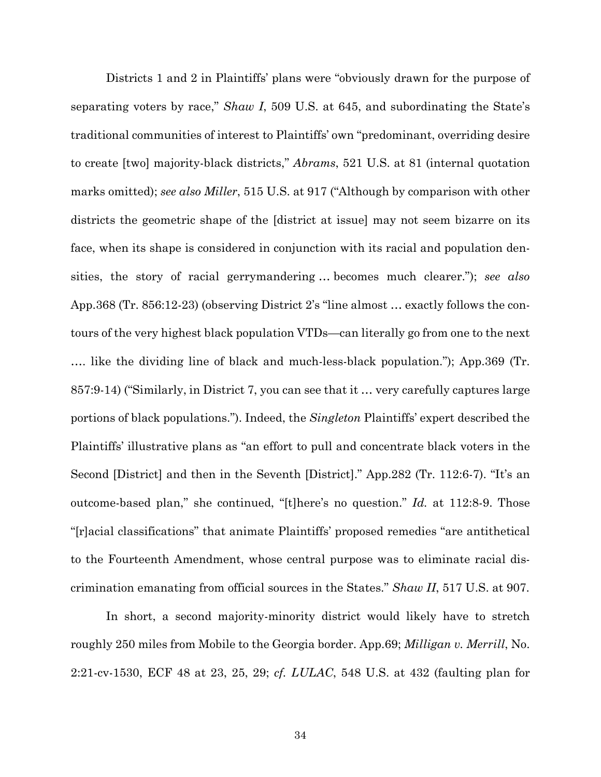Districts 1 and 2 in Plaintiffs' plans were "obviously drawn for the purpose of separating voters by race," *Shaw I*, 509 U.S. at 645, and subordinating the State's traditional communities of interest to Plaintiffs' own "predominant, overriding desire to create [two] majority-black districts," *Abrams*, 521 U.S. at 81 (internal quotation marks omitted); *see also Miller*, 515 U.S. at 917 ("Although by comparison with other districts the geometric shape of the [district at issue] may not seem bizarre on its face, when its shape is considered in conjunction with its racial and population densities, the story of racial gerrymandering … becomes much clearer."); *see also* App.368 (Tr. 856:12-23) (observing District 2's "line almost … exactly follows the contours of the very highest black population VTDs—can literally go from one to the next …. like the dividing line of black and much-less-black population."); App.369 (Tr. 857:9-14) ("Similarly, in District 7, you can see that it … very carefully captures large portions of black populations."). Indeed, the *Singleton* Plaintiffs' expert described the Plaintiffs' illustrative plans as "an effort to pull and concentrate black voters in the Second [District] and then in the Seventh [District]." App.282 (Tr. 112:6-7). "It's an outcome-based plan," she continued, "[t]here's no question." *Id.* at 112:8-9. Those "[r]acial classifications" that animate Plaintiffs' proposed remedies "are antithetical to the Fourteenth Amendment, whose central purpose was to eliminate racial discrimination emanating from official sources in the States." *Shaw II*, 517 U.S. at 907.

In short, a second majority-minority district would likely have to stretch roughly 250 miles from Mobile to the Georgia border. App.69; *Milligan v. Merrill*, No. 2:21-cv-1530, ECF 48 at 23, 25, 29; *cf. LULAC*, 548 U.S. at 432 (faulting plan for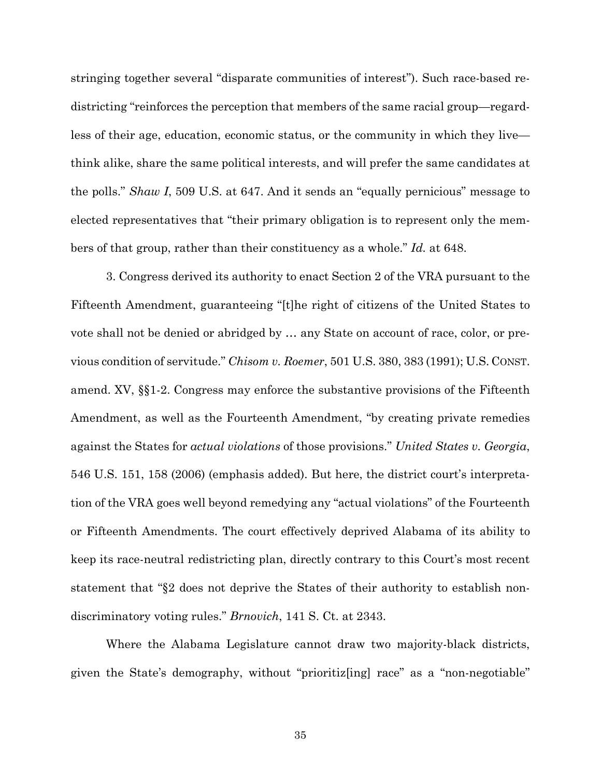stringing together several "disparate communities of interest"). Such race-based redistricting "reinforces the perception that members of the same racial group—regardless of their age, education, economic status, or the community in which they live think alike, share the same political interests, and will prefer the same candidates at the polls." *Shaw I*, 509 U.S. at 647. And it sends an "equally pernicious" message to elected representatives that "their primary obligation is to represent only the members of that group, rather than their constituency as a whole." *Id.* at 648.

3. Congress derived its authority to enact Section 2 of the VRA pursuant to the Fifteenth Amendment, guaranteeing "[t]he right of citizens of the United States to vote shall not be denied or abridged by … any State on account of race, color, or previous condition of servitude." *Chisom v. Roemer*, 501 U.S. 380, 383 (1991); U.S. CONST. amend. XV, §§1-2. Congress may enforce the substantive provisions of the Fifteenth Amendment, as well as the Fourteenth Amendment, "by creating private remedies against the States for *actual violations* of those provisions." *United States v. Georgia*, 546 U.S. 151, 158 (2006) (emphasis added). But here, the district court's interpretation of the VRA goes well beyond remedying any "actual violations" of the Fourteenth or Fifteenth Amendments. The court effectively deprived Alabama of its ability to keep its race-neutral redistricting plan, directly contrary to this Court's most recent statement that "§2 does not deprive the States of their authority to establish nondiscriminatory voting rules." *Brnovich*, 141 S. Ct. at 2343.

Where the Alabama Legislature cannot draw two majority-black districts, given the State's demography, without "prioritiz[ing] race" as a "non-negotiable"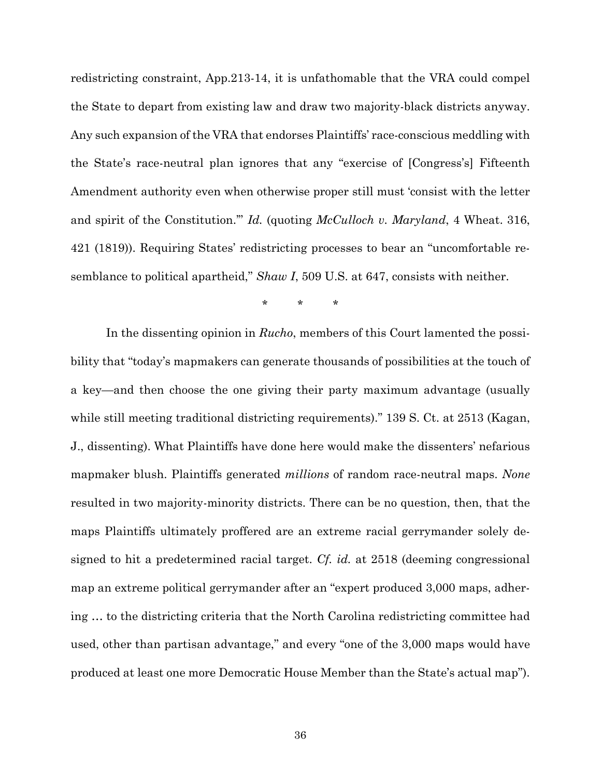redistricting constraint, App.213-14, it is unfathomable that the VRA could compel the State to depart from existing law and draw two majority-black districts anyway. Any such expansion of the VRA that endorses Plaintiffs' race-conscious meddling with the State's race-neutral plan ignores that any "exercise of [Congress's] Fifteenth Amendment authority even when otherwise proper still must 'consist with the letter and spirit of the Constitution.'" *Id.* (quoting *McCulloch v. Maryland*, 4 Wheat. 316, 421 (1819)). Requiring States' redistricting processes to bear an "uncomfortable resemblance to political apartheid," *Shaw I*, 509 U.S. at 647, consists with neither.

\* \* \*

In the dissenting opinion in *Rucho*, members of this Court lamented the possibility that "today's mapmakers can generate thousands of possibilities at the touch of a key—and then choose the one giving their party maximum advantage (usually while still meeting traditional districting requirements)." 139 S. Ct. at 2513 (Kagan, J., dissenting). What Plaintiffs have done here would make the dissenters' nefarious mapmaker blush. Plaintiffs generated *millions* of random race-neutral maps. *None* resulted in two majority-minority districts. There can be no question, then, that the maps Plaintiffs ultimately proffered are an extreme racial gerrymander solely designed to hit a predetermined racial target. *Cf. id.* at 2518 (deeming congressional map an extreme political gerrymander after an "expert produced 3,000 maps, adhering … to the districting criteria that the North Carolina redistricting committee had used, other than partisan advantage," and every "one of the 3,000 maps would have produced at least one more Democratic House Member than the State's actual map").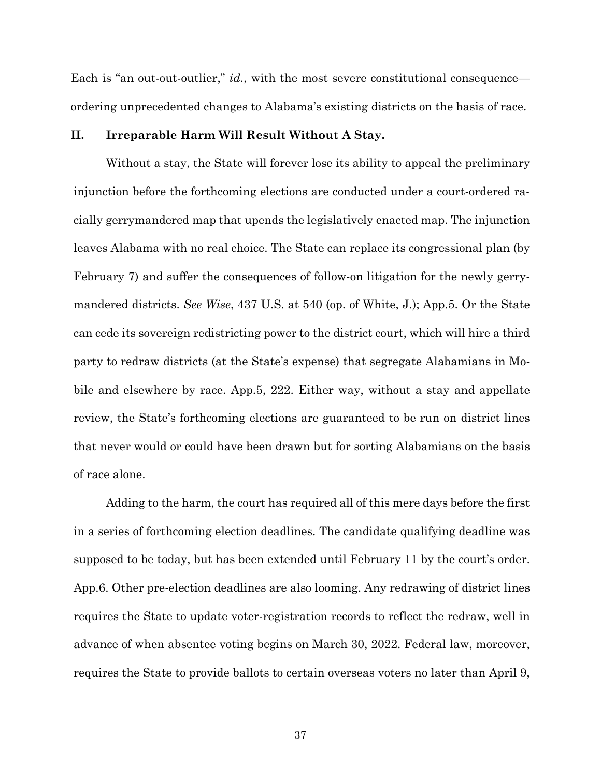Each is "an out-out-outlier," *id.*, with the most severe constitutional consequence ordering unprecedented changes to Alabama's existing districts on the basis of race.

### **II. Irreparable Harm Will Result Without A Stay.**

Without a stay, the State will forever lose its ability to appeal the preliminary injunction before the forthcoming elections are conducted under a court-ordered racially gerrymandered map that upends the legislatively enacted map. The injunction leaves Alabama with no real choice. The State can replace its congressional plan (by February 7) and suffer the consequences of follow-on litigation for the newly gerrymandered districts. *See Wise*, 437 U.S. at 540 (op. of White, J.); App.5. Or the State can cede its sovereign redistricting power to the district court, which will hire a third party to redraw districts (at the State's expense) that segregate Alabamians in Mobile and elsewhere by race. App.5, 222. Either way, without a stay and appellate review, the State's forthcoming elections are guaranteed to be run on district lines that never would or could have been drawn but for sorting Alabamians on the basis of race alone.

Adding to the harm, the court has required all of this mere days before the first in a series of forthcoming election deadlines. The candidate qualifying deadline was supposed to be today, but has been extended until February 11 by the court's order. App.6. Other pre-election deadlines are also looming. Any redrawing of district lines requires the State to update voter-registration records to reflect the redraw, well in advance of when absentee voting begins on March 30, 2022. Federal law, moreover, requires the State to provide ballots to certain overseas voters no later than April 9,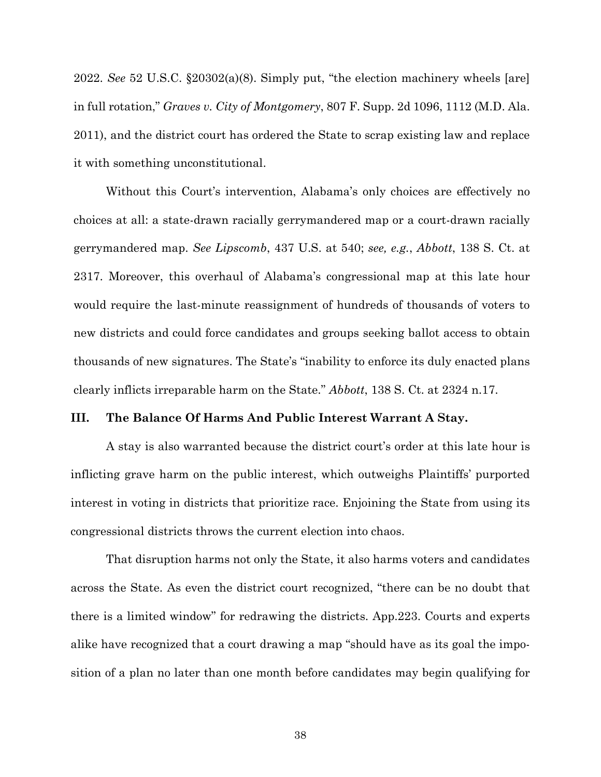2022. *See* 52 U.S.C. §20302(a)(8). Simply put, "the election machinery wheels [are] in full rotation," *Graves v. City of Montgomery*, 807 F. Supp. 2d 1096, 1112 (M.D. Ala. 2011), and the district court has ordered the State to scrap existing law and replace it with something unconstitutional.

Without this Court's intervention, Alabama's only choices are effectively no choices at all: a state-drawn racially gerrymandered map or a court-drawn racially gerrymandered map. *See Lipscomb*, 437 U.S. at 540; *see, e.g.*, *Abbott*, 138 S. Ct. at 2317. Moreover, this overhaul of Alabama's congressional map at this late hour would require the last-minute reassignment of hundreds of thousands of voters to new districts and could force candidates and groups seeking ballot access to obtain thousands of new signatures. The State's "inability to enforce its duly enacted plans clearly inflicts irreparable harm on the State." *Abbott*, 138 S. Ct. at 2324 n.17.

#### **III. The Balance Of Harms And Public Interest Warrant A Stay.**

A stay is also warranted because the district court's order at this late hour is inflicting grave harm on the public interest, which outweighs Plaintiffs' purported interest in voting in districts that prioritize race. Enjoining the State from using its congressional districts throws the current election into chaos.

That disruption harms not only the State, it also harms voters and candidates across the State. As even the district court recognized, "there can be no doubt that there is a limited window" for redrawing the districts. App.223. Courts and experts alike have recognized that a court drawing a map "should have as its goal the imposition of a plan no later than one month before candidates may begin qualifying for

38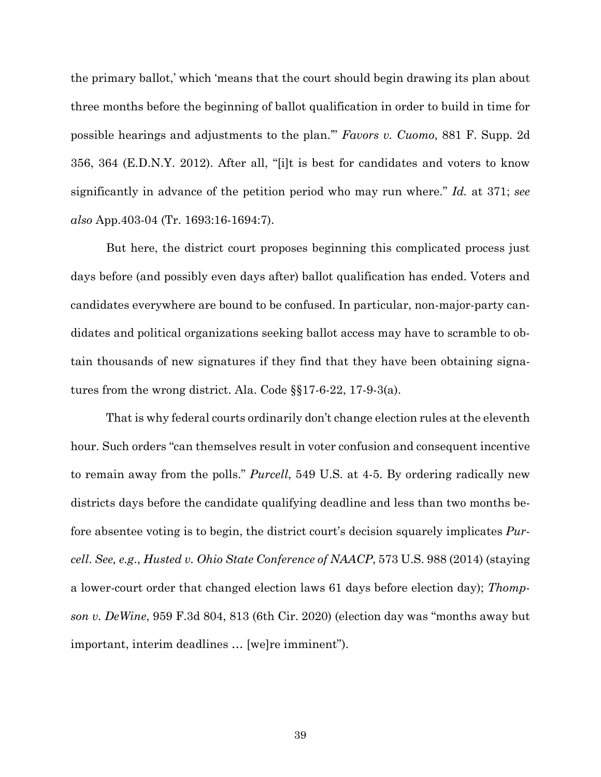the primary ballot,' which 'means that the court should begin drawing its plan about three months before the beginning of ballot qualification in order to build in time for possible hearings and adjustments to the plan.'" *Favors v. Cuomo*, 881 F. Supp. 2d 356, 364 (E.D.N.Y. 2012). After all, "[i]t is best for candidates and voters to know significantly in advance of the petition period who may run where." *Id.* at 371; *see also* App.403-04 (Tr. 1693:16-1694:7).

But here, the district court proposes beginning this complicated process just days before (and possibly even days after) ballot qualification has ended. Voters and candidates everywhere are bound to be confused. In particular, non-major-party candidates and political organizations seeking ballot access may have to scramble to obtain thousands of new signatures if they find that they have been obtaining signatures from the wrong district. Ala. Code §§17-6-22, 17-9-3(a).

That is why federal courts ordinarily don't change election rules at the eleventh hour. Such orders "can themselves result in voter confusion and consequent incentive to remain away from the polls." *Purcell*, 549 U.S. at 4-5. By ordering radically new districts days before the candidate qualifying deadline and less than two months before absentee voting is to begin, the district court's decision squarely implicates *Purcell*. *See, e.g*., *Husted v. Ohio State Conference of NAACP*, 573 U.S. 988 (2014) (staying a lower-court order that changed election laws 61 days before election day); *Thompson v. DeWine*, 959 F.3d 804, 813 (6th Cir. 2020) (election day was "months away but important, interim deadlines … [we]re imminent").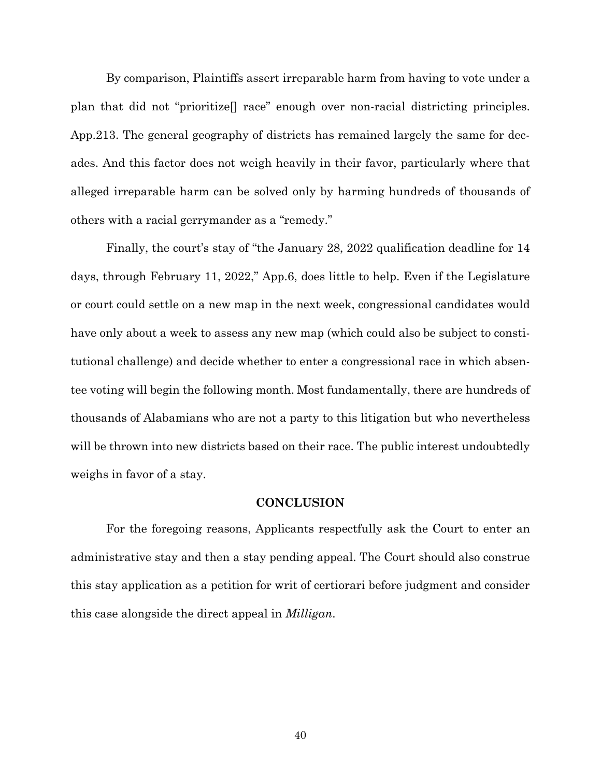By comparison, Plaintiffs assert irreparable harm from having to vote under a plan that did not "prioritize[] race" enough over non-racial districting principles. App.213. The general geography of districts has remained largely the same for decades. And this factor does not weigh heavily in their favor, particularly where that alleged irreparable harm can be solved only by harming hundreds of thousands of others with a racial gerrymander as a "remedy."

Finally, the court's stay of "the January 28, 2022 qualification deadline for 14 days, through February 11, 2022," App.6, does little to help. Even if the Legislature or court could settle on a new map in the next week, congressional candidates would have only about a week to assess any new map (which could also be subject to constitutional challenge) and decide whether to enter a congressional race in which absentee voting will begin the following month. Most fundamentally, there are hundreds of thousands of Alabamians who are not a party to this litigation but who nevertheless will be thrown into new districts based on their race. The public interest undoubtedly weighs in favor of a stay.

## **CONCLUSION**

For the foregoing reasons, Applicants respectfully ask the Court to enter an administrative stay and then a stay pending appeal. The Court should also construe this stay application as a petition for writ of certiorari before judgment and consider this case alongside the direct appeal in *Milligan*.